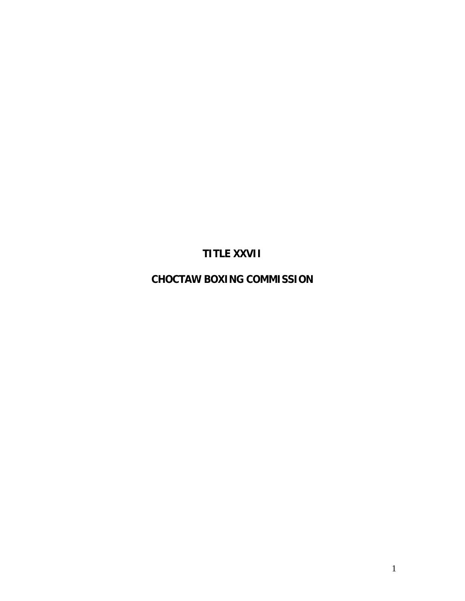**TITLE XXVII** 

**CHOCTAW BOXING COMMISSION**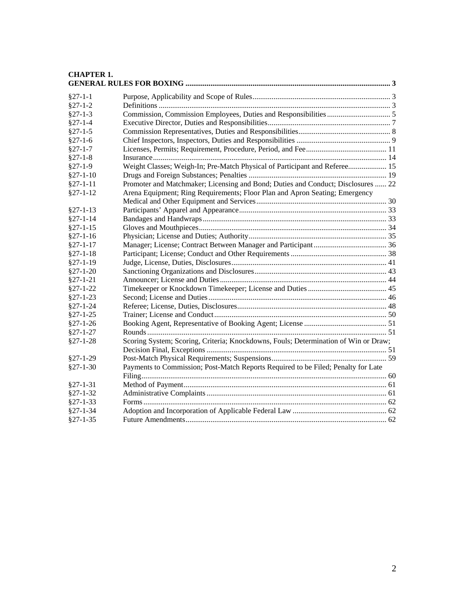#### **[CHAPTER 1.](#page-2-0)  GENERAL RULES FOR BOXING [...........................................................................................................](#page-2-0) 3** §27-1-1 Purpose, Applicability and [Scope of Rules........................................................................](#page-2-0) 3 §27-1-2 Definitions [.........................................................................................................................](#page-2-0) 3 §27-1-3 Commission, [Commission Employees, Duties and Responsibilities.................................](#page-4-0) 5 [§27-1-4 Executive Director, Duties and Responsibilities................................................................](#page-6-0) 7 [§27-1-5 Commission Representatives, Duties and Responsibilities................................................](#page-7-0) 8 §27-1-6 [Chief Inspectors, Inspectors, Duties and](#page-8-0) Responsibilities ................................................. 9 [§27-1-7 Licenses, Permits; Requirement, Procedure,](#page-10-0) Period, and Fee.......................................... 11 [§27-1-8 Insurance..........................................................................................................................](#page-13-0) 14 [§27-1-9 Weight Classes; Weigh-In; Pre-Match Physical of Participant and Referee....................](#page-14-0) 15 §27-1-10 Drugs and Foreign Substances; Penalties [........................................................................](#page-18-0) 19 §27-1-11 [Promoter and Matchmaker; Licensing and](#page-21-0) Bond; Duties and Conduct; Disclosures ...... 22 §27-1-12 [Arena Equipment; Ring Requirements; Floor Plan and Apron Seating; Emergency](#page-29-0) [Medical and Other Equipment and Services....................................................................](#page-29-0) 30 §27-1-13 [Participants' Apparel and Appearance.............................................................................](#page-32-0) 33 §27-1-14 [Bandages and Handwraps................................................................................................](#page-32-0) 33 §27-1-15 [Gloves and Mouthpieces..................................................................................................](#page-33-0) 34 §27-1-16 Physician; License and [Duties; Authority........................................................................](#page-34-0) 35 §27-1-17 Manager; License; Contract [Between Manager and Participant......................................](#page-35-0) 36 §27-1-18 Participant; License; Conduct and [Other Requirements..................................................](#page-37-0) 38 §27-1-19 [Judge, License, Duties, Disclosures.................................................................................](#page-40-0) 41 §27-1-20 [Sanctioning Organizations and Disclosures.....................................................................](#page-42-0) 43 §27-1-21 [Announcer; License and Duties.......................................................................................](#page-43-0) 44 §27-1-22 Timekeeper or [Knockdown Timekeeper; License and Duties.........................................](#page-44-0) 45 §27-1-23 Second; License [and Duties.............................................................................................](#page-45-0) 46 §27-1-24 [Referee; License, Duties, Disclosures..............................................................................](#page-47-0) 48 §27-1-25 [Trainer; License and Conduct..........................................................................................](#page-49-0) 50 §27-1-26 Booking [Agent, Representative of Booking](#page-50-0) Agent; License ........................................... 51 §27-1-27 [Rounds.............................................................................................................................](#page-50-0) 51 §27-1-28 [Scoring System; Scoring, Criteria; Knockdowns,](#page-50-0) Fouls; Determination of Win or Draw; Decision Final, Exceptions [..............................................................................................](#page-50-0) 51 §27-1-29 [Post-Match Physical Requirements; Suspensions............................................................](#page-58-0) 59 §27-1-30 [Payments to Commission; Post-Match Reports Required to be](#page-59-0) Filed; Penalty for Late [Filing................................................................................................................................ 60](#page-59-0) §27-1-31 [Method of Payment..........................................................................................................](#page-60-0) 61 §27-1-32 [Administrative Complaints..............................................................................................](#page-60-0) 61 §27-1-33 [Forms...............................................................................................................................](#page-61-0) 62 §27-1-34 Adoption and [Incorporation of Applicable Federal Law](#page-61-0) ................................................. 62 §27-1-35 [Future Amendments.........................................................................................................](#page-61-0) 62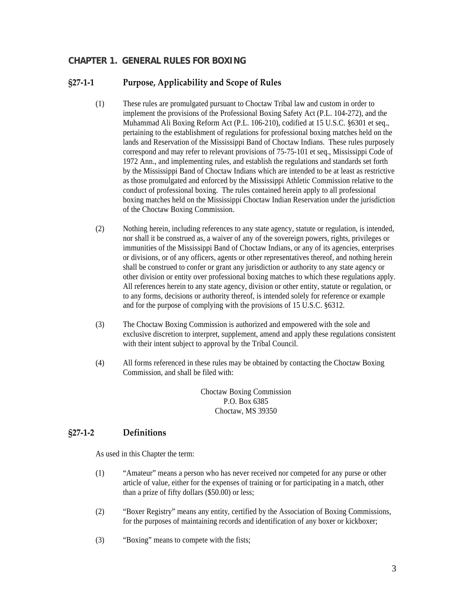# <span id="page-2-0"></span>**CHAPTER 1. GENERAL RULES FOR BOXING**

# **§27‐1‐1 Purpose, Applicability and Scope of Rules**

- (1) These rules are promulgated pursuant to Choctaw Tribal law and custom in order to implement the provisions of the Professional Boxing Safety Act (P.L. 104-272), and the Muhammad Ali Boxing Reform Act (P.L. 106-210), codified at 15 U.S.C. §6301 et seq., pertaining to the establishment of regulations for professional boxing matches held on the lands and Reservation of the Mississippi Band of Choctaw Indians. These rules purposely correspond and may refer to relevant provisions of 75-75-101 et seq., Mississippi Code of 1972 Ann., and implementing rules, and establish the regulations and standards set forth by the Mississippi Band of Choctaw Indians which are intended to be at least as restrictive as those promulgated and enforced by the Mississippi Athletic Commission relative to the conduct of professional boxing. The rules contained herein apply to all professional boxing matches held on the Mississippi Choctaw Indian Reservation under the jurisdiction of the Choctaw Boxing Commission.
- (2) Nothing herein, including references to any state agency, statute or regulation, is intended, nor shall it be construed as, a waiver of any of the sovereign powers, rights, privileges or immunities of the Mississippi Band of Choctaw Indians, or any of its agencies, enterprises or divisions, or of any officers, agents or other representatives thereof, and nothing herein shall be construed to confer or grant any jurisdiction or authority to any state agency or other division or entity over professional boxing matches to which these regulations apply. All references herein to any state agency, division or other entity, statute or regulation, or to any forms, decisions or authority thereof, is intended solely for reference or example and for the purpose of complying with the provisions of 15 U.S.C. §6312.
- (3) The Choctaw Boxing Commission is authorized and empowered with the sole and exclusive discretion to interpret, supplement, amend and apply these regulations consistent with their intent subject to approval by the Tribal Council.
- (4) All forms referenced in these rules may be obtained by contacting the Choctaw Boxing Commission, and shall be filed with:

Choctaw Boxing Commission P.O. Box 6385 Choctaw, MS 39350

# **§27‐1‐2 Definitions**

As used in this Chapter the term:

- (1) "Amateur" means a person who has never received nor competed for any purse or other article of value, either for the expenses of training or for participating in a match, other than a prize of fifty dollars (\$50.00) or less;
- (2) "Boxer Registry" means any entity, certified by the Association of Boxing Commissions, for the purposes of maintaining records and identification of any boxer or kickboxer;
- (3) "Boxing" means to compete with the fists;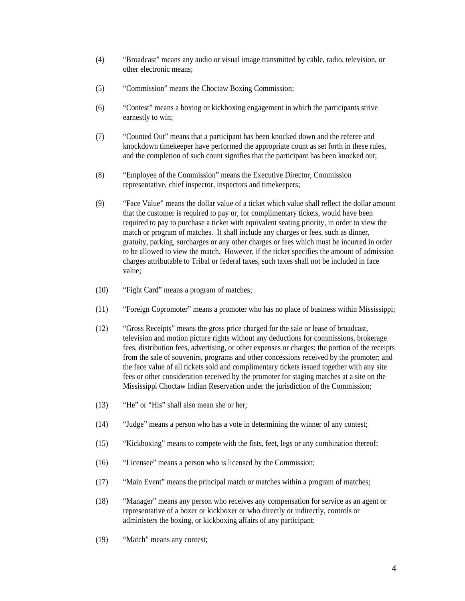- (4) "Broadcast" means any audio or visual image transmitted by cable, radio, television, or other electronic means;
- (5) "Commission" means the Choctaw Boxing Commission;
- (6) "Contest" means a boxing or kickboxing engagement in which the participants strive earnestly to win;
- (7) "Counted Out" means that a participant has been knocked down and the referee and knockdown timekeeper have performed the appropriate count as set forth in these rules, and the completion of such count signifies that the participant has been knocked out;
- (8) "Employee of the Commission" means the Executive Director, Commission representative, chief inspector, inspectors and timekeepers;
- (9) "Face Value" means the dollar value of a ticket which value shall reflect the dollar amount that the customer is required to pay or, for complimentary tickets, would have been required to pay to purchase a ticket with equivalent seating priority, in order to view the match or program of matches. It shall include any charges or fees, such as dinner, gratuity, parking, surcharges or any other charges or fees which must be incurred in order to be allowed to view the match. However, if the ticket specifies the amount of admission charges attributable to Tribal or federal taxes, such taxes shall not be included in face value;
- (10) "Fight Card" means a program of matches;
- (11) "Foreign Copromoter" means a promoter who has no place of business within Mississippi;
- (12) "Gross Receipts" means the gross price charged for the sale or lease of broadcast, television and motion picture rights without any deductions for commissions, brokerage fees, distribution fees, advertising, or other expenses or charges; the portion of the receipts from the sale of souvenirs, programs and other concessions received by the promoter; and the face value of all tickets sold and complimentary tickets issued together with any site fees or other consideration received by the promoter for staging matches at a site on the Mississippi Choctaw Indian Reservation under the jurisdiction of the Commission;
- (13) "He" or "His" shall also mean she or her;
- (14) "Judge" means a person who has a vote in determining the winner of any contest;
- (15) "Kickboxing" means to compete with the fists, feet, legs or any combination thereof;
- (16) "Licensee" means a person who is licensed by the Commission;
- (17) "Main Event" means the principal match or matches within a program of matches;
- (18) "Manager" means any person who receives any compensation for service as an agent or representative of a boxer or kickboxer or who directly or indirectly, controls or administers the boxing, or kickboxing affairs of any participant;
- (19) "Match" means any contest;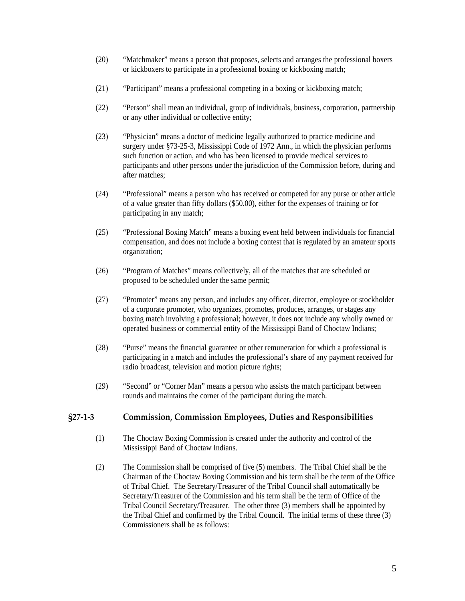- <span id="page-4-0"></span>(20) "Matchmaker" means a person that proposes, selects and arranges the professional boxers or kickboxers to participate in a professional boxing or kickboxing match;
- (21) "Participant" means a professional competing in a boxing or kickboxing match;
- (22) "Person" shall mean an individual, group of individuals, business, corporation, partnership or any other individual or collective entity;
- (23) "Physician" means a doctor of medicine legally authorized to practice medicine and surgery under §73-25-3, Mississippi Code of 1972 Ann., in which the physician performs such function or action, and who has been licensed to provide medical services to participants and other persons under the jurisdiction of the Commission before, during and after matches;
- (24) "Professional" means a person who has received or competed for any purse or other article of a value greater than fifty dollars (\$50.00), either for the expenses of training or for participating in any match;
- (25) "Professional Boxing Match" means a boxing event held between individuals for financial compensation, and does not include a boxing contest that is regulated by an amateur sports organization;
- (26) "Program of Matches" means collectively, all of the matches that are scheduled or proposed to be scheduled under the same permit;
- (27) "Promoter" means any person, and includes any officer, director, employee or stockholder of a corporate promoter, who organizes, promotes, produces, arranges, or stages any boxing match involving a professional; however, it does not include any wholly owned or operated business or commercial entity of the Mississippi Band of Choctaw Indians;
- (28) "Purse" means the financial guarantee or other remuneration for which a professional is participating in a match and includes the professional's share of any payment received for radio broadcast, television and motion picture rights;
- (29) "Second" or "Corner Man" means a person who assists the match participant between rounds and maintains the corner of the participant during the match.

### **§27‐1‐3 Commission, Commission Employees, Duties and Responsibilities**

- (1) The Choctaw Boxing Commission is created under the authority and control of the Mississippi Band of Choctaw Indians.
- (2) The Commission shall be comprised of five (5) members. The Tribal Chief shall be the Chairman of the Choctaw Boxing Commission and his term shall be the term of the Office of Tribal Chief. The Secretary/Treasurer of the Tribal Council shall automatically be Secretary/Treasurer of the Commission and his term shall be the term of Office of the Tribal Council Secretary/Treasurer. The other three (3) members shall be appointed by the Tribal Chief and confirmed by the Tribal Council. The initial terms of these three (3) Commissioners shall be as follows: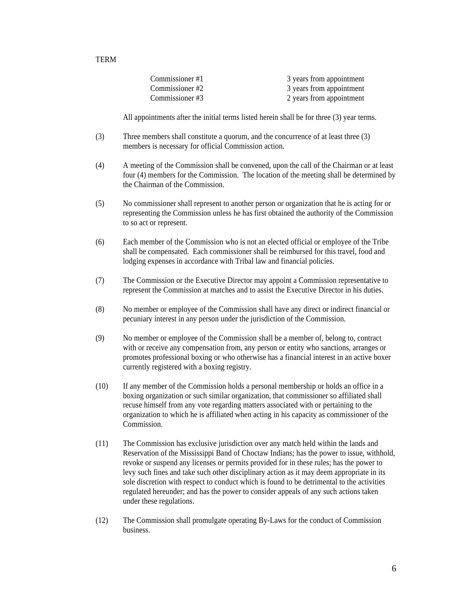| Commissioner #1 | 3 years from appointment |
|-----------------|--------------------------|
| Commissioner #2 | 3 years from appointment |
| Commissioner#3  | 2 years from appointment |

All appointments after the initial terms listed herein shall be for three (3) year terms.

- (3) Three members shall constitute a quorum, and the concurrence of at least three (3) members is necessary for official Commission action.
- (4) A meeting of the Commission shall be convened, upon the call of the Chairman or at least four (4) members for the Commission. The location of the meeting shall be determined by the Chairman of the Commission.
- (5) No commissioner shall represent to another person or organization that he is acting for or representing the Commission unless he has first obtained the authority of the Commission to so act or represent.
- (6) Each member of the Commission who is not an elected official or employee of the Tribe shall be compensated. Each commissioner shall be reimbursed for this travel, food and lodging expenses in accordance with Tribal law and financial policies.
- (7) The Commission or the Executive Director may appoint a Commission representative to represent the Commission at matches and to assist the Executive Director in his duties.
- (8) No member or employee of the Commission shall have any direct or indirect financial or pecuniary interest in any person under the jurisdiction of the Commission.
- (9) No member or employee of the Commission shall be a member of, belong to, contract with or receive any compensation from, any person or entity who sanctions, arranges or promotes professional boxing or who otherwise has a financial interest in an active boxer currently registered with a boxing registry.
- (10) If any member of the Commission holds a personal membership or holds an office in a boxing organization or such similar organization, that commissioner so affiliated shall recuse himself from any vote regarding matters associated with or pertaining to the organization to which he is affiliated when acting in his capacity as commissioner of the Commission.
- (11) The Commission has exclusive jurisdiction over any match held within the lands and Reservation of the Mississippi Band of Choctaw Indians; has the power to issue, withhold, revoke or suspend any licenses or permits provided for in these rules; has the power to levy such fines and take such other disciplinary action as it may deem appropriate in its sole discretion with respect to conduct which is found to be detrimental to the activities regulated hereunder; and has the power to consider appeals of any such actions taken under these regulations.
- (12) The Commission shall promulgate operating By-Laws for the conduct of Commission business.

#### TERM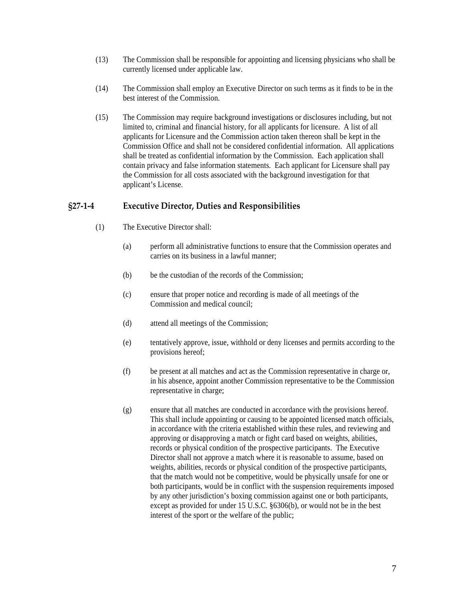- <span id="page-6-0"></span>(13) The Commission shall be responsible for appointing and licensing physicians who shall be currently licensed under applicable law.
- (14) The Commission shall employ an Executive Director on such terms as it finds to be in the best interest of the Commission.
- (15) The Commission may require background investigations or disclosures including, but not limited to, criminal and financial history, for all applicants for licensure. A list of all applicants for Licensure and the Commission action taken thereon shall be kept in the Commission Office and shall not be considered confidential information. All applications shall be treated as confidential information by the Commission. Each application shall contain privacy and false information statements. Each applicant for Licensure shall pay the Commission for all costs associated with the background investigation for that applicant's License.

#### **§27‐1‐4 Executive Director, Duties and Responsibilities**

- (1) The Executive Director shall:
	- (a) perform all administrative functions to ensure that the Commission operates and carries on its business in a lawful manner;
	- (b) be the custodian of the records of the Commission;
	- (c) ensure that proper notice and recording is made of all meetings of the Commission and medical council;
	- (d) attend all meetings of the Commission;
	- (e) tentatively approve, issue, withhold or deny licenses and permits according to the provisions hereof;
	- (f) be present at all matches and act as the Commission representative in charge or, in his absence, appoint another Commission representative to be the Commission representative in charge;
	- (g) ensure that all matches are conducted in accordance with the provisions hereof. This shall include appointing or causing to be appointed licensed match officials, in accordance with the criteria established within these rules, and reviewing and approving or disapproving a match or fight card based on weights, abilities, records or physical condition of the prospective participants. The Executive Director shall not approve a match where it is reasonable to assume, based on weights, abilities, records or physical condition of the prospective participants, that the match would not be competitive, would be physically unsafe for one or both participants, would be in conflict with the suspension requirements imposed by any other jurisdiction's boxing commission against one or both participants, except as provided for under 15 U.S.C. §6306(b), or would not be in the best interest of the sport or the welfare of the public;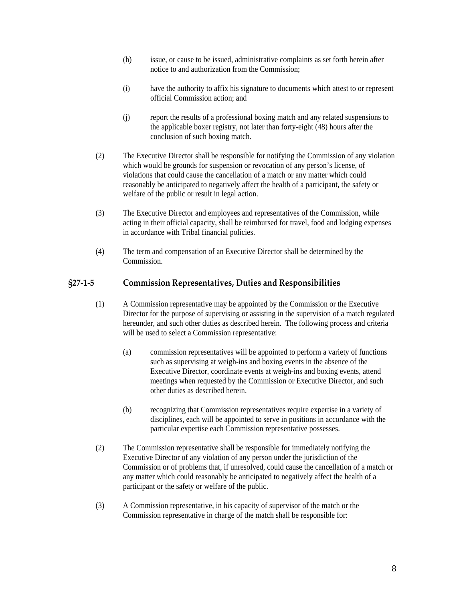- <span id="page-7-0"></span>(h) issue, or cause to be issued, administrative complaints as set forth herein after notice to and authorization from the Commission;
- (i) have the authority to affix his signature to documents which attest to or represent official Commission action; and
- (j) report the results of a professional boxing match and any related suspensions to the applicable boxer registry, not later than forty-eight (48) hours after the conclusion of such boxing match.
- (2) The Executive Director shall be responsible for notifying the Commission of any violation which would be grounds for suspension or revocation of any person's license, of violations that could cause the cancellation of a match or any matter which could reasonably be anticipated to negatively affect the health of a participant, the safety or welfare of the public or result in legal action.
- (3) The Executive Director and employees and representatives of the Commission, while acting in their official capacity, shall be reimbursed for travel, food and lodging expenses in accordance with Tribal financial policies.
- (4) The term and compensation of an Executive Director shall be determined by the Commission.

### **§27‐1‐5 Commission Representatives, Duties and Responsibilities**

- (1) A Commission representative may be appointed by the Commission or the Executive Director for the purpose of supervising or assisting in the supervision of a match regulated hereunder, and such other duties as described herein. The following process and criteria will be used to select a Commission representative:
	- (a) commission representatives will be appointed to perform a variety of functions such as supervising at weigh-ins and boxing events in the absence of the Executive Director, coordinate events at weigh-ins and boxing events, attend meetings when requested by the Commission or Executive Director, and such other duties as described herein.
	- (b) recognizing that Commission representatives require expertise in a variety of disciplines, each will be appointed to serve in positions in accordance with the particular expertise each Commission representative possesses.
- (2) The Commission representative shall be responsible for immediately notifying the Executive Director of any violation of any person under the jurisdiction of the Commission or of problems that, if unresolved, could cause the cancellation of a match or any matter which could reasonably be anticipated to negatively affect the health of a participant or the safety or welfare of the public.
- (3) A Commission representative, in his capacity of supervisor of the match or the Commission representative in charge of the match shall be responsible for: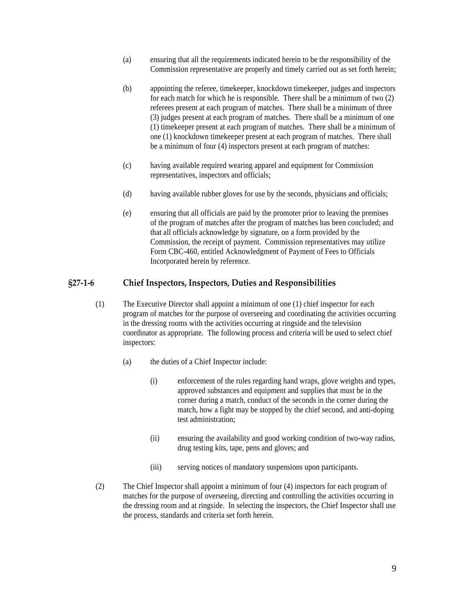- <span id="page-8-0"></span>(a) ensuring that all the requirements indicated herein to be the responsibility of the Commission representative are properly and timely carried out as set forth herein;
- (b) appointing the referee, timekeeper, knockdown timekeeper, judges and inspectors for each match for which he is responsible. There shall be a minimum of two (2) referees present at each program of matches. There shall be a minimum of three (3) judges present at each program of matches. There shall be a minimum of one (1) timekeeper present at each program of matches. There shall be a minimum of one (1) knockdown timekeeper present at each program of matches. There shall be a minimum of four (4) inspectors present at each program of matches:
- (c) having available required wearing apparel and equipment for Commission representatives, inspectors and officials;
- (d) having available rubber gloves for use by the seconds, physicians and officials;
- (e) ensuring that all officials are paid by the promoter prior to leaving the premises of the program of matches after the program of matches has been concluded; and that all officials acknowledge by signature, on a form provided by the Commission, the receipt of payment. Commission representatives may utilize Form CBC-460, entitled Acknowledgment of Payment of Fees to Officials Incorporated herein by reference.

#### **§27‐1‐6 Chief Inspectors, Inspectors, Duties and Responsibilities**

- (1) The Executive Director shall appoint a minimum of one (1) chief inspector for each program of matches for the purpose of overseeing and coordinating the activities occurring in the dressing rooms with the activities occurring at ringside and the television coordinator as appropriate. The following process and criteria will be used to select chief inspectors:
	- (a) the duties of a Chief Inspector include:
		- (i) enforcement of the rules regarding hand wraps, glove weights and types, approved substances and equipment and supplies that must be in the corner during a match, conduct of the seconds in the corner during the match, how a fight may be stopped by the chief second, and anti-doping test administration;
		- (ii) ensuring the availability and good working condition of two-way radios, drug testing kits, tape, pens and gloves; and
		- (iii) serving notices of mandatory suspensions upon participants.
- (2) The Chief Inspector shall appoint a minimum of four (4) inspectors for each program of matches for the purpose of overseeing, directing and controlling the activities occurring in the dressing room and at ringside. In selecting the inspectors, the Chief Inspector shall use the process, standards and criteria set forth herein.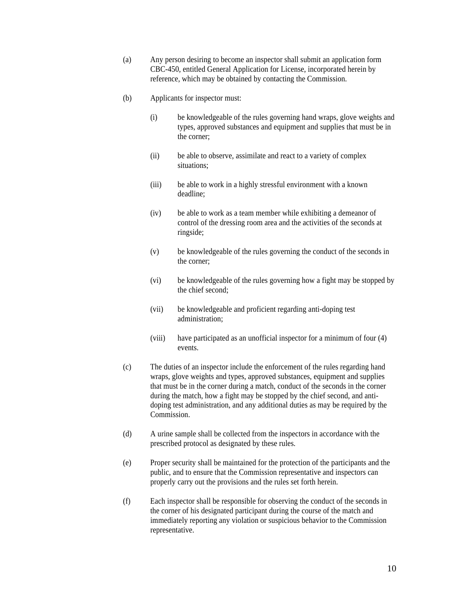- (a) Any person desiring to become an inspector shall submit an application form CBC-450, entitled General Application for License, incorporated herein by reference, which may be obtained by contacting the Commission.
- (b) Applicants for inspector must:
	- (i) be knowledgeable of the rules governing hand wraps, glove weights and types, approved substances and equipment and supplies that must be in the corner;
	- (ii) be able to observe, assimilate and react to a variety of complex situations;
	- (iii) be able to work in a highly stressful environment with a known deadline;
	- (iv) be able to work as a team member while exhibiting a demeanor of control of the dressing room area and the activities of the seconds at ringside;
	- (v) be knowledgeable of the rules governing the conduct of the seconds in the corner;
	- (vi) be knowledgeable of the rules governing how a fight may be stopped by the chief second;
	- (vii) be knowledgeable and proficient regarding anti-doping test administration;
	- (viii) have participated as an unofficial inspector for a minimum of four (4) events.
- (c) The duties of an inspector include the enforcement of the rules regarding hand wraps, glove weights and types, approved substances, equipment and supplies that must be in the corner during a match, conduct of the seconds in the corner during the match, how a fight may be stopped by the chief second, and antidoping test administration, and any additional duties as may be required by the Commission.
- (d) A urine sample shall be collected from the inspectors in accordance with the prescribed protocol as designated by these rules.
- (e) Proper security shall be maintained for the protection of the participants and the public, and to ensure that the Commission representative and inspectors can properly carry out the provisions and the rules set forth herein.
- (f) Each inspector shall be responsible for observing the conduct of the seconds in the corner of his designated participant during the course of the match and immediately reporting any violation or suspicious behavior to the Commission representative.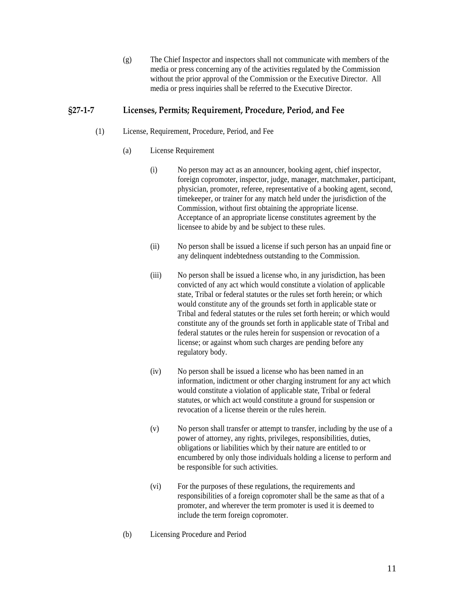(g) The Chief Inspector and inspectors shall not communicate with members of the media or press concerning any of the activities regulated by the Commission without the prior approval of the Commission or the Executive Director. All media or press inquiries shall be referred to the Executive Director.

## <span id="page-10-0"></span>**§27‐1‐7 Licenses, Permits; Requirement, Procedure, Period, and Fee**

- (1) License, Requirement, Procedure, Period, and Fee
	- (a) License Requirement
		- (i) No person may act as an announcer, booking agent, chief inspector, foreign copromoter, inspector, judge, manager, matchmaker, participant, physician, promoter, referee, representative of a booking agent, second, timekeeper, or trainer for any match held under the jurisdiction of the Commission, without first obtaining the appropriate license. Acceptance of an appropriate license constitutes agreement by the licensee to abide by and be subject to these rules.
		- (ii) No person shall be issued a license if such person has an unpaid fine or any delinquent indebtedness outstanding to the Commission.
		- (iii) No person shall be issued a license who, in any jurisdiction, has been convicted of any act which would constitute a violation of applicable state, Tribal or federal statutes or the rules set forth herein; or which would constitute any of the grounds set forth in applicable state or Tribal and federal statutes or the rules set forth herein; or which would constitute any of the grounds set forth in applicable state of Tribal and federal statutes or the rules herein for suspension or revocation of a license; or against whom such charges are pending before any regulatory body.
		- (iv) No person shall be issued a license who has been named in an information, indictment or other charging instrument for any act which would constitute a violation of applicable state, Tribal or federal statutes, or which act would constitute a ground for suspension or revocation of a license therein or the rules herein.
		- (v) No person shall transfer or attempt to transfer, including by the use of a power of attorney, any rights, privileges, responsibilities, duties, obligations or liabilities which by their nature are entitled to or encumbered by only those individuals holding a license to perform and be responsible for such activities.
		- (vi) For the purposes of these regulations, the requirements and responsibilities of a foreign copromoter shall be the same as that of a promoter, and wherever the term promoter is used it is deemed to include the term foreign copromoter.
	- (b) Licensing Procedure and Period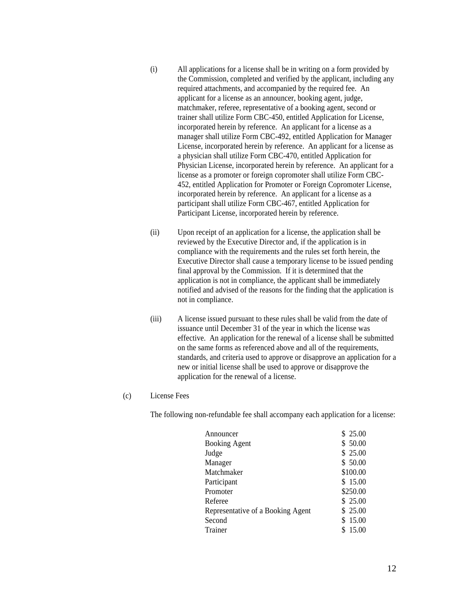- (i) All applications for a license shall be in writing on a form provided by the Commission, completed and verified by the applicant, including any required attachments, and accompanied by the required fee. An applicant for a license as an announcer, booking agent, judge, matchmaker, referee, representative of a booking agent, second or trainer shall utilize Form CBC-450, entitled Application for License, incorporated herein by reference. An applicant for a license as a manager shall utilize Form CBC-492, entitled Application for Manager License, incorporated herein by reference. An applicant for a license as a physician shall utilize Form CBC-470, entitled Application for Physician License, incorporated herein by reference. An applicant for a license as a promoter or foreign copromoter shall utilize Form CBC-452, entitled Application for Promoter or Foreign Copromoter License, incorporated herein by reference. An applicant for a license as a participant shall utilize Form CBC-467, entitled Application for Participant License, incorporated herein by reference.
- (ii) Upon receipt of an application for a license, the application shall be reviewed by the Executive Director and, if the application is in compliance with the requirements and the rules set forth herein, the Executive Director shall cause a temporary license to be issued pending final approval by the Commission. If it is determined that the application is not in compliance, the applicant shall be immediately notified and advised of the reasons for the finding that the application is not in compliance.
- (iii) A license issued pursuant to these rules shall be valid from the date of issuance until December 31 of the year in which the license was effective. An application for the renewal of a license shall be submitted on the same forms as referenced above and all of the requirements, standards, and criteria used to approve or disapprove an application for a new or initial license shall be used to approve or disapprove the application for the renewal of a license.
- (c) License Fees

The following non-refundable fee shall accompany each application for a license:

| Announcer                         | \$25.00  |
|-----------------------------------|----------|
| <b>Booking Agent</b>              | \$50.00  |
| Judge                             | \$25.00  |
| Manager                           | \$50.00  |
| Matchmaker                        | \$100.00 |
| Participant                       | \$15.00  |
| Promoter                          | \$250.00 |
| Referee                           | \$25.00  |
| Representative of a Booking Agent | \$25.00  |
| Second                            | \$15.00  |
| Trainer                           | 15.00    |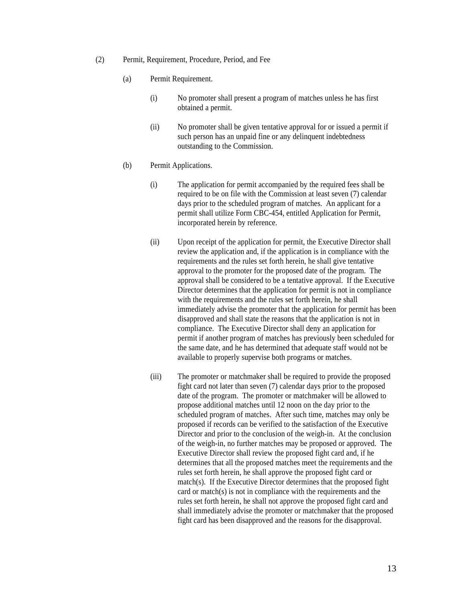- (2) Permit, Requirement, Procedure, Period, and Fee
	- (a) Permit Requirement.
		- (i) No promoter shall present a program of matches unless he has first obtained a permit.
		- (ii) No promoter shall be given tentative approval for or issued a permit if such person has an unpaid fine or any delinquent indebtedness outstanding to the Commission.
	- (b) Permit Applications.
		- (i) The application for permit accompanied by the required fees shall be required to be on file with the Commission at least seven (7) calendar days prior to the scheduled program of matches. An applicant for a permit shall utilize Form CBC-454, entitled Application for Permit, incorporated herein by reference.
		- (ii) Upon receipt of the application for permit, the Executive Director shall review the application and, if the application is in compliance with the requirements and the rules set forth herein, he shall give tentative approval to the promoter for the proposed date of the program. The approval shall be considered to be a tentative approval. If the Executive Director determines that the application for permit is not in compliance with the requirements and the rules set forth herein, he shall immediately advise the promoter that the application for permit has been disapproved and shall state the reasons that the application is not in compliance. The Executive Director shall deny an application for permit if another program of matches has previously been scheduled for the same date, and he has determined that adequate staff would not be available to properly supervise both programs or matches.
		- (iii) The promoter or matchmaker shall be required to provide the proposed fight card not later than seven (7) calendar days prior to the proposed date of the program. The promoter or matchmaker will be allowed to propose additional matches until 12 noon on the day prior to the scheduled program of matches. After such time, matches may only be proposed if records can be verified to the satisfaction of the Executive Director and prior to the conclusion of the weigh-in. At the conclusion of the weigh-in, no further matches may be proposed or approved. The Executive Director shall review the proposed fight card and, if he determines that all the proposed matches meet the requirements and the rules set forth herein, he shall approve the proposed fight card or match(s). If the Executive Director determines that the proposed fight card or match(s) is not in compliance with the requirements and the rules set forth herein, he shall not approve the proposed fight card and shall immediately advise the promoter or matchmaker that the proposed fight card has been disapproved and the reasons for the disapproval.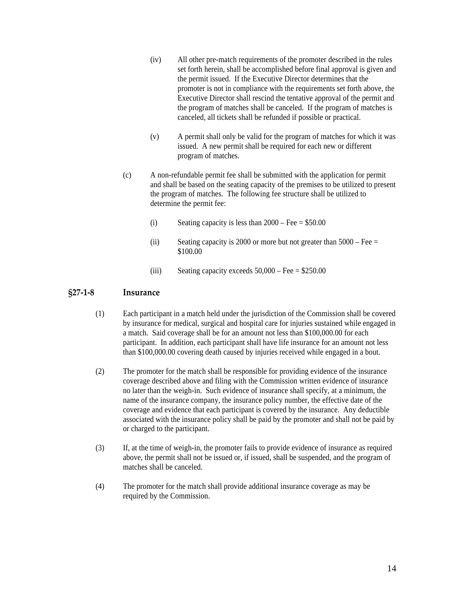- <span id="page-13-0"></span>(iv) All other pre-match requirements of the promoter described in the rules set forth herein, shall be accomplished before final approval is given and the permit issued. If the Executive Director determines that the promoter is not in compliance with the requirements set forth above, the Executive Director shall rescind the tentative approval of the permit and the program of matches shall be canceled. If the program of matches is canceled, all tickets shall be refunded if possible or practical.
- (v) A permit shall only be valid for the program of matches for which it was issued. A new permit shall be required for each new or different program of matches.
- (c) A non-refundable permit fee shall be submitted with the application for permit and shall be based on the seating capacity of the premises to be utilized to present the program of matches. The following fee structure shall be utilized to determine the permit fee:
	- (i) Seating capacity is less than  $2000 \text{Fee} = $50.00$
	- (ii) Seating capacity is 2000 or more but not greater than  $5000$  Fee = \$100.00
	- (iii) Seating capacity exceeds  $50,000$  Fee = \$250.00

### **§27‐1‐8 Insurance**

- (1) Each participant in a match held under the jurisdiction of the Commission shall be covered by insurance for medical, surgical and hospital care for injuries sustained while engaged in a match. Said coverage shall be for an amount not less than \$100,000.00 for each participant. In addition, each participant shall have life insurance for an amount not less than \$100,000.00 covering death caused by injuries received while engaged in a bout.
- (2) The promoter for the match shall be responsible for providing evidence of the insurance coverage described above and filing with the Commission written evidence of insurance no later than the weigh-in. Such evidence of insurance shall specify, at a minimum, the name of the insurance company, the insurance policy number, the effective date of the coverage and evidence that each participant is covered by the insurance. Any deductible associated with the insurance policy shall be paid by the promoter and shall not be paid by or charged to the participant.
- (3) If, at the time of weigh-in, the promoter fails to provide evidence of insurance as required above, the permit shall not be issued or, if issued, shall be suspended, and the program of matches shall be canceled.
- (4) The promoter for the match shall provide additional insurance coverage as may be required by the Commission.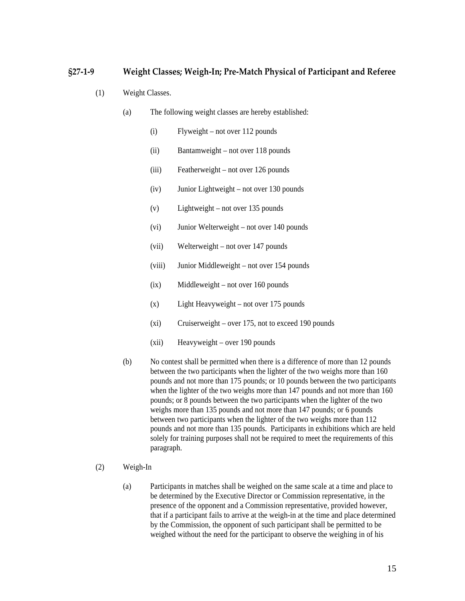## <span id="page-14-0"></span>**§27‐1‐9 Weight Classes; Weigh‐In; Pre‐Match Physical of Participant and Referee**

- (1) Weight Classes.
	- (a) The following weight classes are hereby established:
		- (i) Flyweight not over 112 pounds
		- (ii) Bantamweight not over 118 pounds
		- (iii) Featherweight not over 126 pounds
		- (iv) Junior Lightweight not over 130 pounds
		- (v) Lightweight not over 135 pounds
		- (vi) Junior Welterweight not over 140 pounds
		- (vii) Welterweight not over 147 pounds
		- (viii) Junior Middleweight not over 154 pounds
		- (ix) Middleweight not over 160 pounds
		- (x) Light Heavyweight not over 175 pounds
		- (xi) Cruiserweight over 175, not to exceed 190 pounds
		- (xii) Heavyweight over 190 pounds
	- (b) No contest shall be permitted when there is a difference of more than 12 pounds between the two participants when the lighter of the two weighs more than 160 pounds and not more than 175 pounds; or 10 pounds between the two participants when the lighter of the two weighs more than 147 pounds and not more than 160 pounds; or 8 pounds between the two participants when the lighter of the two weighs more than 135 pounds and not more than 147 pounds; or 6 pounds between two participants when the lighter of the two weighs more than 112 pounds and not more than 135 pounds. Participants in exhibitions which are held solely for training purposes shall not be required to meet the requirements of this paragraph.
- (2) Weigh-In
	- (a) Participants in matches shall be weighed on the same scale at a time and place to be determined by the Executive Director or Commission representative, in the presence of the opponent and a Commission representative, provided however, that if a participant fails to arrive at the weigh-in at the time and place determined by the Commission, the opponent of such participant shall be permitted to be weighed without the need for the participant to observe the weighing in of his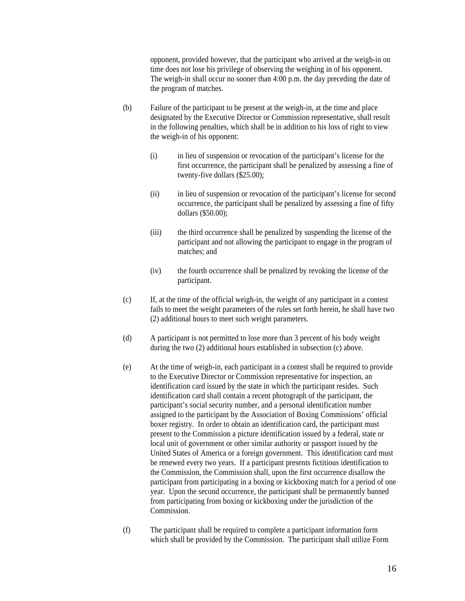opponent, provided however, that the participant who arrived at the weigh-in on time does not lose his privilege of observing the weighing in of his opponent. The weigh-in shall occur no sooner than 4:00 p.m. the day preceding the date of the program of matches.

- (b) Failure of the participant to be present at the weigh-in, at the time and place designated by the Executive Director or Commission representative, shall result in the following penalties, which shall be in addition to his loss of right to view the weigh-in of his opponent:
	- (i) in lieu of suspension or revocation of the participant's license for the first occurrence, the participant shall be penalized by assessing a fine of twenty-five dollars (\$25.00);
	- (ii) in lieu of suspension or revocation of the participant's license for second occurrence, the participant shall be penalized by assessing a fine of fifty dollars (\$50.00);
	- (iii) the third occurrence shall be penalized by suspending the license of the participant and not allowing the participant to engage in the program of matches; and
	- (iv) the fourth occurrence shall be penalized by revoking the license of the participant.
- (c) If, at the time of the official weigh-in, the weight of any participant in a contest fails to meet the weight parameters of the rules set forth herein, he shall have two (2) additional hours to meet such weight parameters.
- (d) A participant is not permitted to lose more than 3 percent of his body weight during the two (2) additional hours established in subsection (c) above.
- (e) At the time of weigh-in, each participant in a contest shall be required to provide to the Executive Director or Commission representative for inspection, an identification card issued by the state in which the participant resides. Such identification card shall contain a recent photograph of the participant, the participant's social security number, and a personal identification number assigned to the participant by the Association of Boxing Commissions' official boxer registry. In order to obtain an identification card, the participant must present to the Commission a picture identification issued by a federal, state or local unit of government or other similar authority or passport issued by the United States of America or a foreign government. This identification card must be renewed every two years. If a participant presents fictitious identification to the Commission, the Commission shall, upon the first occurrence disallow the participant from participating in a boxing or kickboxing match for a period of one year. Upon the second occurrence, the participant shall be permanently banned from participating from boxing or kickboxing under the jurisdiction of the Commission.
- (f) The participant shall be required to complete a participant information form which shall be provided by the Commission. The participant shall utilize Form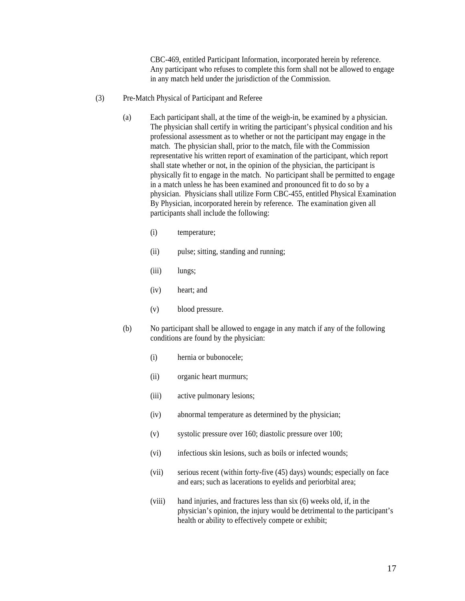CBC-469, entitled Participant Information, incorporated herein by reference. Any participant who refuses to complete this form shall not be allowed to engage in any match held under the jurisdiction of the Commission.

- (3) Pre-Match Physical of Participant and Referee
	- (a) Each participant shall, at the time of the weigh-in, be examined by a physician. The physician shall certify in writing the participant's physical condition and his professional assessment as to whether or not the participant may engage in the match. The physician shall, prior to the match, file with the Commission representative his written report of examination of the participant, which report shall state whether or not, in the opinion of the physician, the participant is physically fit to engage in the match. No participant shall be permitted to engage in a match unless he has been examined and pronounced fit to do so by a physician. Physicians shall utilize Form CBC-455, entitled Physical Examination By Physician, incorporated herein by reference. The examination given all participants shall include the following:
		- (i) temperature;
		- (ii) pulse; sitting, standing and running;
		- (iii) lungs;
		- (iv) heart; and
		- (v) blood pressure.
	- (b) No participant shall be allowed to engage in any match if any of the following conditions are found by the physician:
		- (i) hernia or bubonocele;
		- (ii) organic heart murmurs;
		- (iii) active pulmonary lesions;
		- (iv) abnormal temperature as determined by the physician;
		- (v) systolic pressure over 160; diastolic pressure over 100;
		- (vi) infectious skin lesions, such as boils or infected wounds;
		- (vii) serious recent (within forty-five (45) days) wounds; especially on face and ears; such as lacerations to eyelids and periorbital area;
		- (viii) hand injuries, and fractures less than six (6) weeks old, if, in the physician's opinion, the injury would be detrimental to the participant's health or ability to effectively compete or exhibit;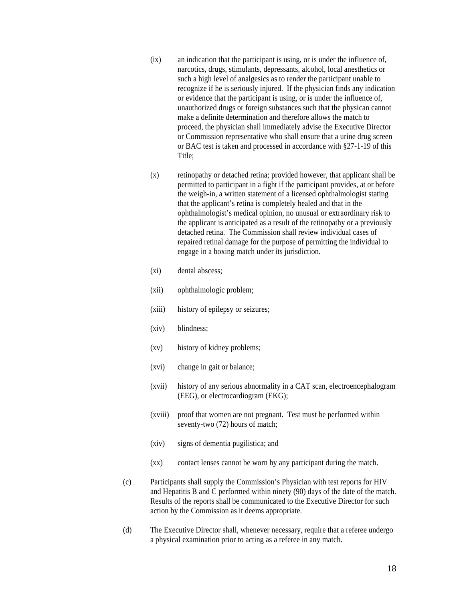- (ix) an indication that the participant is using, or is under the influence of, narcotics, drugs, stimulants, depressants, alcohol, local anesthetics or such a high level of analgesics as to render the participant unable to recognize if he is seriously injured. If the physician finds any indication or evidence that the participant is using, or is under the influence of, unauthorized drugs or foreign substances such that the physican cannot make a definite determination and therefore allows the match to proceed, the physician shall immediately advise the Executive Director or Commission representative who shall ensure that a urine drug screen or BAC test is taken and processed in accordance with §27-1-19 of this Title;
- (x) retinopathy or detached retina; provided however, that applicant shall be permitted to participant in a fight if the participant provides, at or before the weigh-in, a written statement of a licensed ophthalmologist stating that the applicant's retina is completely healed and that in the ophthalmologist's medical opinion, no unusual or extraordinary risk to the applicant is anticipated as a result of the retinopathy or a previously detached retina. The Commission shall review individual cases of repaired retinal damage for the purpose of permitting the individual to engage in a boxing match under its jurisdiction.
- (xi) dental abscess;
- (xii) ophthalmologic problem;
- (xiii) history of epilepsy or seizures;
- (xiv) blindness;
- (xv) history of kidney problems;
- (xvi) change in gait or balance;
- (xvii) history of any serious abnormality in a CAT scan, electroencephalogram (EEG), or electrocardiogram (EKG);
- (xviii) proof that women are not pregnant. Test must be performed within seventy-two (72) hours of match;
- (xiv) signs of dementia pugilistica; and
- (xx) contact lenses cannot be worn by any participant during the match.
- (c) Participants shall supply the Commission's Physician with test reports for HIV and Hepatitis B and C performed within ninety (90) days of the date of the match. Results of the reports shall be communicated to the Executive Director for such action by the Commission as it deems appropriate.
- (d) The Executive Director shall, whenever necessary, require that a referee undergo a physical examination prior to acting as a referee in any match.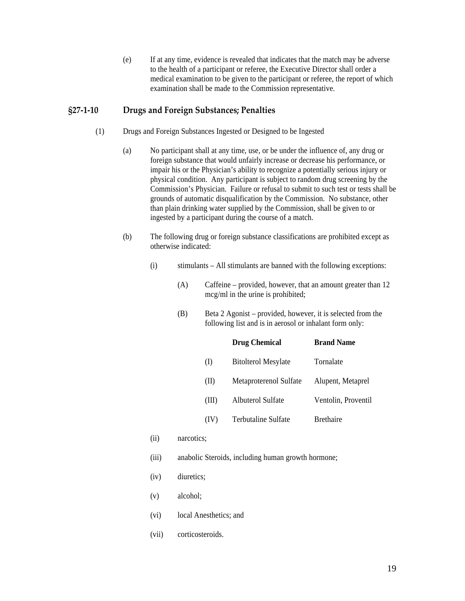(e) If at any time, evidence is revealed that indicates that the match may be adverse to the health of a participant or referee, the Executive Director shall order a medical examination to be given to the participant or referee, the report of which examination shall be made to the Commission representative.

#### <span id="page-18-0"></span>**§27‐1‐10 Drugs and Foreign Substances; Penalties**

- (1) Drugs and Foreign Substances Ingested or Designed to be Ingested
	- (a) No participant shall at any time, use, or be under the influence of, any drug or foreign substance that would unfairly increase or decrease his performance, or impair his or the Physician's ability to recognize a potentially serious injury or physical condition. Any participant is subject to random drug screening by the Commission's Physician. Failure or refusal to submit to such test or tests shall be grounds of automatic disqualification by the Commission. No substance, other than plain drinking water supplied by the Commission, shall be given to or ingested by a participant during the course of a match.
	- (b) The following drug or foreign substance classifications are prohibited except as otherwise indicated:
		- $(i)$  stimulants All stimulants are banned with the following exceptions:
			- (A) Caffeine provided, however, that an amount greater than 12 mcg/ml in the urine is prohibited;
			- (B) Beta 2 Agonist provided, however, it is selected from the following list and is in aerosol or inhalant form only:

|       | <b>Drug Chemical</b>       | <b>Brand Name</b>   |
|-------|----------------------------|---------------------|
| (I)   | <b>Bitolterol Mesylate</b> | Tornalate           |
| (II)  | Metaproterenol Sulfate     | Alupent, Metaprel   |
| (III) | Albuterol Sulfate          | Ventolin, Proventil |
| (IV)  | Terbutaline Sulfate        | <b>Brethaire</b>    |

- (ii) narcotics;
- (iii) anabolic Steroids, including human growth hormone;
- (iv) diuretics;
- (v) alcohol;
- (vi) local Anesthetics; and
- (vii) corticosteroids.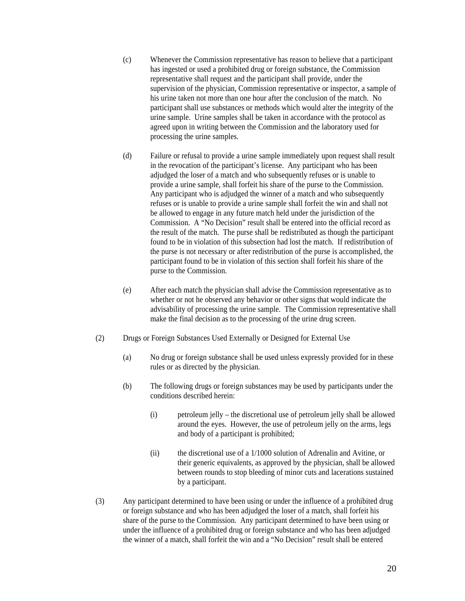- (c) Whenever the Commission representative has reason to believe that a participant has ingested or used a prohibited drug or foreign substance, the Commission representative shall request and the participant shall provide, under the supervision of the physician, Commission representative or inspector, a sample of his urine taken not more than one hour after the conclusion of the match. No participant shall use substances or methods which would alter the integrity of the urine sample. Urine samples shall be taken in accordance with the protocol as agreed upon in writing between the Commission and the laboratory used for processing the urine samples.
- (d) Failure or refusal to provide a urine sample immediately upon request shall result in the revocation of the participant's license. Any participant who has been adjudged the loser of a match and who subsequently refuses or is unable to provide a urine sample, shall forfeit his share of the purse to the Commission. Any participant who is adjudged the winner of a match and who subsequently refuses or is unable to provide a urine sample shall forfeit the win and shall not be allowed to engage in any future match held under the jurisdiction of the Commission. A "No Decision" result shall be entered into the official record as the result of the match. The purse shall be redistributed as though the participant found to be in violation of this subsection had lost the match. If redistribution of the purse is not necessary or after redistribution of the purse is accomplished, the participant found to be in violation of this section shall forfeit his share of the purse to the Commission.
- (e) After each match the physician shall advise the Commission representative as to whether or not he observed any behavior or other signs that would indicate the advisability of processing the urine sample. The Commission representative shall make the final decision as to the processing of the urine drug screen.
- (2) Drugs or Foreign Substances Used Externally or Designed for External Use
	- (a) No drug or foreign substance shall be used unless expressly provided for in these rules or as directed by the physician.
	- (b) The following drugs or foreign substances may be used by participants under the conditions described herein:
		- (i) petroleum jelly the discretional use of petroleum jelly shall be allowed around the eyes. However, the use of petroleum jelly on the arms, legs and body of a participant is prohibited;
		- (ii) the discretional use of a 1/1000 solution of Adrenalin and Avitine, or their generic equivalents, as approved by the physician, shall be allowed between rounds to stop bleeding of minor cuts and lacerations sustained by a participant.
- (3) Any participant determined to have been using or under the influence of a prohibited drug or foreign substance and who has been adjudged the loser of a match, shall forfeit his share of the purse to the Commission. Any participant determined to have been using or under the influence of a prohibited drug or foreign substance and who has been adjudged the winner of a match, shall forfeit the win and a "No Decision" result shall be entered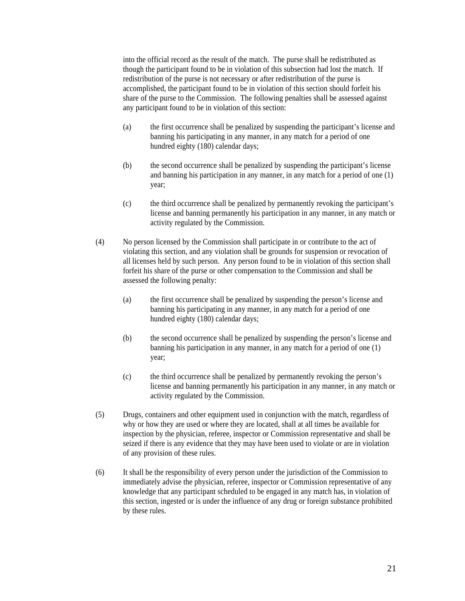into the official record as the result of the match. The purse shall be redistributed as though the participant found to be in violation of this subsection had lost the match. If redistribution of the purse is not necessary or after redistribution of the purse is accomplished, the participant found to be in violation of this section should forfeit his share of the purse to the Commission. The following penalties shall be assessed against any participant found to be in violation of this section:

- (a) the first occurrence shall be penalized by suspending the participant's license and banning his participating in any manner, in any match for a period of one hundred eighty (180) calendar days;
- (b) the second occurrence shall be penalized by suspending the participant's license and banning his participation in any manner, in any match for a period of one (1) year;
- (c) the third occurrence shall be penalized by permanently revoking the participant's license and banning permanently his participation in any manner, in any match or activity regulated by the Commission.
- (4) No person licensed by the Commission shall participate in or contribute to the act of violating this section, and any violation shall be grounds for suspension or revocation of all licenses held by such person. Any person found to be in violation of this section shall forfeit his share of the purse or other compensation to the Commission and shall be assessed the following penalty:
	- (a) the first occurrence shall be penalized by suspending the person's license and banning his participating in any manner, in any match for a period of one hundred eighty (180) calendar days;
	- (b) the second occurrence shall be penalized by suspending the person's license and banning his participation in any manner, in any match for a period of one (1) year;
	- (c) the third occurrence shall be penalized by permanently revoking the person's license and banning permanently his participation in any manner, in any match or activity regulated by the Commission.
- (5) Drugs, containers and other equipment used in conjunction with the match, regardless of why or how they are used or where they are located, shall at all times be available for inspection by the physician, referee, inspector or Commission representative and shall be seized if there is any evidence that they may have been used to violate or are in violation of any provision of these rules.
- (6) It shall be the responsibility of every person under the jurisdiction of the Commission to immediately advise the physician, referee, inspector or Commission representative of any knowledge that any participant scheduled to be engaged in any match has, in violation of this section, ingested or is under the influence of any drug or foreign substance prohibited by these rules.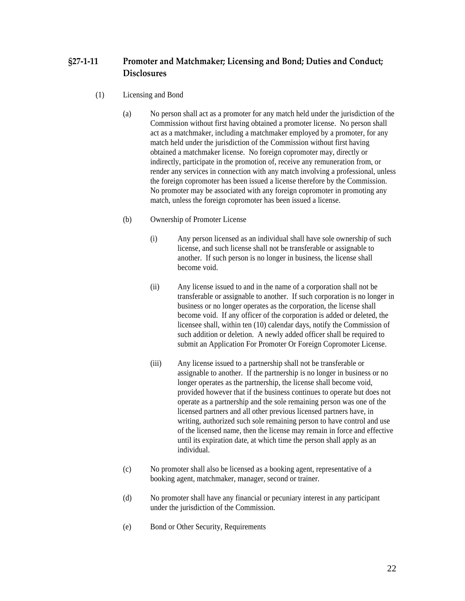# <span id="page-21-0"></span>**§27‐1‐11 Promoter and Matchmaker; Licensing and Bond; Duties and Conduct; Disclosures**

- (1) Licensing and Bond
	- (a) No person shall act as a promoter for any match held under the jurisdiction of the Commission without first having obtained a promoter license. No person shall act as a matchmaker, including a matchmaker employed by a promoter, for any match held under the jurisdiction of the Commission without first having obtained a matchmaker license. No foreign copromoter may, directly or indirectly, participate in the promotion of, receive any remuneration from, or render any services in connection with any match involving a professional, unless the foreign copromoter has been issued a license therefore by the Commission. No promoter may be associated with any foreign copromoter in promoting any match, unless the foreign copromoter has been issued a license.
	- (b) Ownership of Promoter License
		- (i) Any person licensed as an individual shall have sole ownership of such license, and such license shall not be transferable or assignable to another. If such person is no longer in business, the license shall become void.
		- (ii) Any license issued to and in the name of a corporation shall not be transferable or assignable to another. If such corporation is no longer in business or no longer operates as the corporation, the license shall become void. If any officer of the corporation is added or deleted, the licensee shall, within ten (10) calendar days, notify the Commission of such addition or deletion. A newly added officer shall be required to submit an Application For Promoter Or Foreign Copromoter License.
		- (iii) Any license issued to a partnership shall not be transferable or assignable to another. If the partnership is no longer in business or no longer operates as the partnership, the license shall become void, provided however that if the business continues to operate but does not operate as a partnership and the sole remaining person was one of the licensed partners and all other previous licensed partners have, in writing, authorized such sole remaining person to have control and use of the licensed name, then the license may remain in force and effective until its expiration date, at which time the person shall apply as an individual.
	- (c) No promoter shall also be licensed as a booking agent, representative of a booking agent, matchmaker, manager, second or trainer.
	- (d) No promoter shall have any financial or pecuniary interest in any participant under the jurisdiction of the Commission.
	- (e) Bond or Other Security, Requirements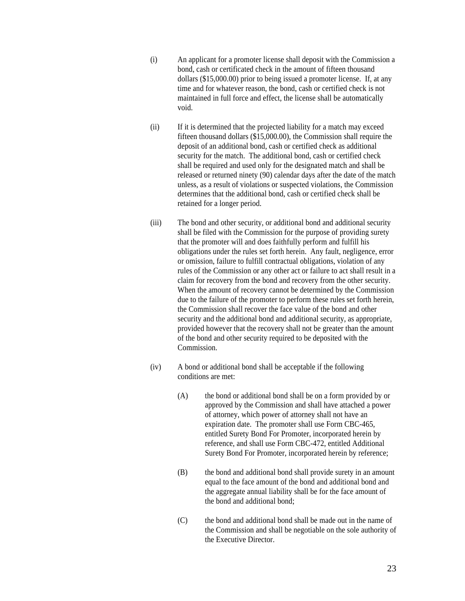- (i) An applicant for a promoter license shall deposit with the Commission a bond, cash or certificated check in the amount of fifteen thousand dollars (\$15,000.00) prior to being issued a promoter license. If, at any time and for whatever reason, the bond, cash or certified check is not maintained in full force and effect, the license shall be automatically void.
- (ii) If it is determined that the projected liability for a match may exceed fifteen thousand dollars (\$15,000.00), the Commission shall require the deposit of an additional bond, cash or certified check as additional security for the match. The additional bond, cash or certified check shall be required and used only for the designated match and shall be released or returned ninety (90) calendar days after the date of the match unless, as a result of violations or suspected violations, the Commission determines that the additional bond, cash or certified check shall be retained for a longer period.
- (iii) The bond and other security, or additional bond and additional security shall be filed with the Commission for the purpose of providing surety that the promoter will and does faithfully perform and fulfill his obligations under the rules set forth herein. Any fault, negligence, error or omission, failure to fulfill contractual obligations, violation of any rules of the Commission or any other act or failure to act shall result in a claim for recovery from the bond and recovery from the other security. When the amount of recovery cannot be determined by the Commission due to the failure of the promoter to perform these rules set forth herein, the Commission shall recover the face value of the bond and other security and the additional bond and additional security, as appropriate, provided however that the recovery shall not be greater than the amount of the bond and other security required to be deposited with the Commission.
- (iv) A bond or additional bond shall be acceptable if the following conditions are met:
	- (A) the bond or additional bond shall be on a form provided by or approved by the Commission and shall have attached a power of attorney, which power of attorney shall not have an expiration date. The promoter shall use Form CBC-465, entitled Surety Bond For Promoter, incorporated herein by reference, and shall use Form CBC-472, entitled Additional Surety Bond For Promoter, incorporated herein by reference;
	- (B) the bond and additional bond shall provide surety in an amount equal to the face amount of the bond and additional bond and the aggregate annual liability shall be for the face amount of the bond and additional bond;
	- (C) the bond and additional bond shall be made out in the name of the Commission and shall be negotiable on the sole authority of the Executive Director.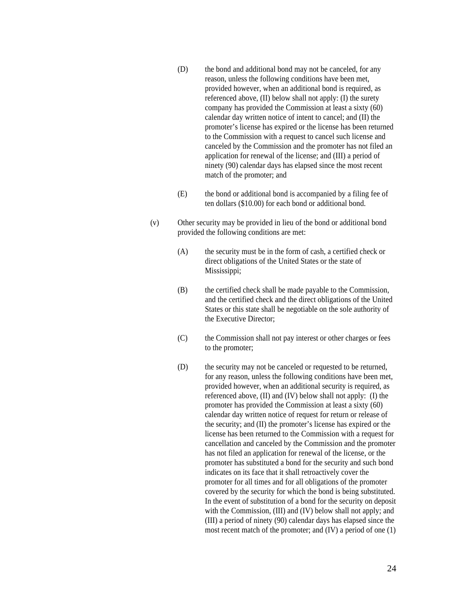- (D) the bond and additional bond may not be canceled, for any reason, unless the following conditions have been met, provided however, when an additional bond is required, as referenced above, (II) below shall not apply: (I) the surety company has provided the Commission at least a sixty (60) calendar day written notice of intent to cancel; and (II) the promoter's license has expired or the license has been returned to the Commission with a request to cancel such license and canceled by the Commission and the promoter has not filed an application for renewal of the license; and (III) a period of ninety (90) calendar days has elapsed since the most recent match of the promoter; and
- (E) the bond or additional bond is accompanied by a filing fee of ten dollars (\$10.00) for each bond or additional bond.
- (v) Other security may be provided in lieu of the bond or additional bond provided the following conditions are met:
	- (A) the security must be in the form of cash, a certified check or direct obligations of the United States or the state of Mississippi;
	- (B) the certified check shall be made payable to the Commission, and the certified check and the direct obligations of the United States or this state shall be negotiable on the sole authority of the Executive Director;
	- (C) the Commission shall not pay interest or other charges or fees to the promoter;
	- (D) the security may not be canceled or requested to be returned, for any reason, unless the following conditions have been met, provided however, when an additional security is required, as referenced above, (II) and (IV) below shall not apply: (I) the promoter has provided the Commission at least a sixty (60) calendar day written notice of request for return or release of the security; and (II) the promoter's license has expired or the license has been returned to the Commission with a request for cancellation and canceled by the Commission and the promoter has not filed an application for renewal of the license, or the promoter has substituted a bond for the security and such bond indicates on its face that it shall retroactively cover the promoter for all times and for all obligations of the promoter covered by the security for which the bond is being substituted. In the event of substitution of a bond for the security on deposit with the Commission, (III) and (IV) below shall not apply; and (III) a period of ninety (90) calendar days has elapsed since the most recent match of the promoter; and (IV) a period of one (1)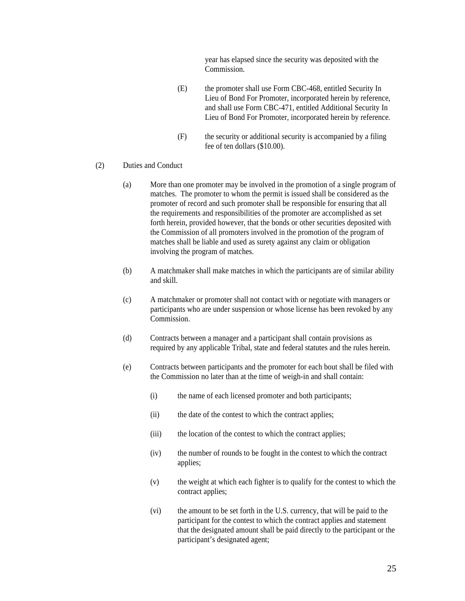year has elapsed since the security was deposited with the Commission.

- (E) the promoter shall use Form CBC-468, entitled Security In Lieu of Bond For Promoter, incorporated herein by reference, and shall use Form CBC-471, entitled Additional Security In Lieu of Bond For Promoter, incorporated herein by reference.
- (F) the security or additional security is accompanied by a filing fee of ten dollars (\$10.00).
- (2) Duties and Conduct
	- (a) More than one promoter may be involved in the promotion of a single program of matches. The promoter to whom the permit is issued shall be considered as the promoter of record and such promoter shall be responsible for ensuring that all the requirements and responsibilities of the promoter are accomplished as set forth herein, provided however, that the bonds or other securities deposited with the Commission of all promoters involved in the promotion of the program of matches shall be liable and used as surety against any claim or obligation involving the program of matches.
	- (b) A matchmaker shall make matches in which the participants are of similar ability and skill.
	- (c) A matchmaker or promoter shall not contact with or negotiate with managers or participants who are under suspension or whose license has been revoked by any Commission.
	- (d) Contracts between a manager and a participant shall contain provisions as required by any applicable Tribal, state and federal statutes and the rules herein.
	- (e) Contracts between participants and the promoter for each bout shall be filed with the Commission no later than at the time of weigh-in and shall contain:
		- (i) the name of each licensed promoter and both participants;
		- (ii) the date of the contest to which the contract applies;
		- (iii) the location of the contest to which the contract applies;
		- (iv) the number of rounds to be fought in the contest to which the contract applies;
		- (v) the weight at which each fighter is to qualify for the contest to which the contract applies;
		- (vi) the amount to be set forth in the U.S. currency, that will be paid to the participant for the contest to which the contract applies and statement that the designated amount shall be paid directly to the participant or the participant's designated agent;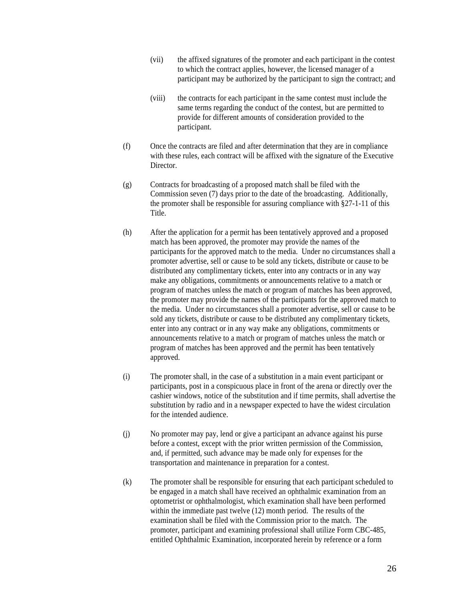- (vii) the affixed signatures of the promoter and each participant in the contest to which the contract applies, however, the licensed manager of a participant may be authorized by the participant to sign the contract; and
- (viii) the contracts for each participant in the same contest must include the same terms regarding the conduct of the contest, but are permitted to provide for different amounts of consideration provided to the participant.
- (f) Once the contracts are filed and after determination that they are in compliance with these rules, each contract will be affixed with the signature of the Executive Director.
- (g) Contracts for broadcasting of a proposed match shall be filed with the Commission seven (7) days prior to the date of the broadcasting. Additionally, the promoter shall be responsible for assuring compliance with §27-1-11 of this Title.
- (h) After the application for a permit has been tentatively approved and a proposed match has been approved, the promoter may provide the names of the participants for the approved match to the media. Under no circumstances shall a promoter advertise, sell or cause to be sold any tickets, distribute or cause to be distributed any complimentary tickets, enter into any contracts or in any way make any obligations, commitments or announcements relative to a match or program of matches unless the match or program of matches has been approved, the promoter may provide the names of the participants for the approved match to the media. Under no circumstances shall a promoter advertise, sell or cause to be sold any tickets, distribute or cause to be distributed any complimentary tickets, enter into any contract or in any way make any obligations, commitments or announcements relative to a match or program of matches unless the match or program of matches has been approved and the permit has been tentatively approved.
- (i) The promoter shall, in the case of a substitution in a main event participant or participants, post in a conspicuous place in front of the arena or directly over the cashier windows, notice of the substitution and if time permits, shall advertise the substitution by radio and in a newspaper expected to have the widest circulation for the intended audience.
- (j) No promoter may pay, lend or give a participant an advance against his purse before a contest, except with the prior written permission of the Commission, and, if permitted, such advance may be made only for expenses for the transportation and maintenance in preparation for a contest.
- (k) The promoter shall be responsible for ensuring that each participant scheduled to be engaged in a match shall have received an ophthalmic examination from an optometrist or ophthalmologist, which examination shall have been performed within the immediate past twelve (12) month period. The results of the examination shall be filed with the Commission prior to the match. The promoter, participant and examining professional shall utilize Form CBC-485, entitled Ophthalmic Examination, incorporated herein by reference or a form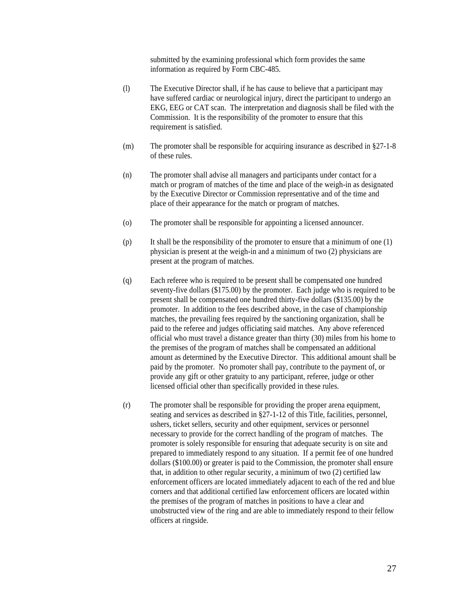submitted by the examining professional which form provides the same information as required by Form CBC-485.

- (l) The Executive Director shall, if he has cause to believe that a participant may have suffered cardiac or neurological injury, direct the participant to undergo an EKG, EEG or CAT scan. The interpretation and diagnosis shall be filed with the Commission. It is the responsibility of the promoter to ensure that this requirement is satisfied.
- (m) The promoter shall be responsible for acquiring insurance as described in §27-1-8 of these rules.
- (n) The promoter shall advise all managers and participants under contact for a match or program of matches of the time and place of the weigh-in as designated by the Executive Director or Commission representative and of the time and place of their appearance for the match or program of matches.
- (o) The promoter shall be responsible for appointing a licensed announcer.
- (p) It shall be the responsibility of the promoter to ensure that a minimum of one (1) physician is present at the weigh-in and a minimum of two (2) physicians are present at the program of matches.
- (q) Each referee who is required to be present shall be compensated one hundred seventy-five dollars (\$175.00) by the promoter. Each judge who is required to be present shall be compensated one hundred thirty-five dollars (\$135.00) by the promoter. In addition to the fees described above, in the case of championship matches, the prevailing fees required by the sanctioning organization, shall be paid to the referee and judges officiating said matches. Any above referenced official who must travel a distance greater than thirty (30) miles from his home to the premises of the program of matches shall be compensated an additional amount as determined by the Executive Director. This additional amount shall be paid by the promoter. No promoter shall pay, contribute to the payment of, or provide any gift or other gratuity to any participant, referee, judge or other licensed official other than specifically provided in these rules.
- (r) The promoter shall be responsible for providing the proper arena equipment, seating and services as described in §27-1-12 of this Title, facilities, personnel, ushers, ticket sellers, security and other equipment, services or personnel necessary to provide for the correct handling of the program of matches. The promoter is solely responsible for ensuring that adequate security is on site and prepared to immediately respond to any situation. If a permit fee of one hundred dollars (\$100.00) or greater is paid to the Commission, the promoter shall ensure that, in addition to other regular security, a minimum of two (2) certified law enforcement officers are located immediately adjacent to each of the red and blue corners and that additional certified law enforcement officers are located within the premises of the program of matches in positions to have a clear and unobstructed view of the ring and are able to immediately respond to their fellow officers at ringside.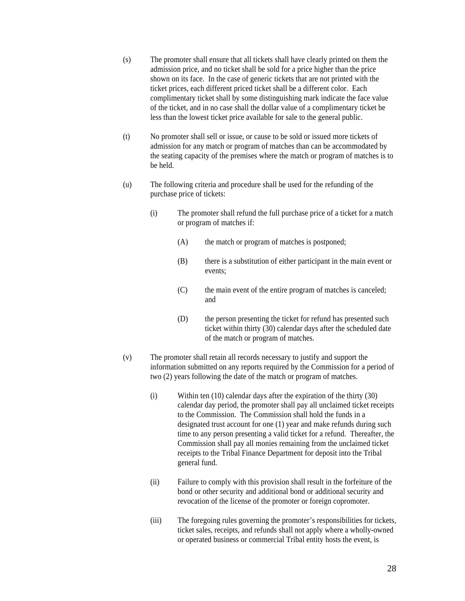- (s) The promoter shall ensure that all tickets shall have clearly printed on them the admission price, and no ticket shall be sold for a price higher than the price shown on its face. In the case of generic tickets that are not printed with the ticket prices, each different priced ticket shall be a different color. Each complimentary ticket shall by some distinguishing mark indicate the face value of the ticket, and in no case shall the dollar value of a complimentary ticket be less than the lowest ticket price available for sale to the general public.
- (t) No promoter shall sell or issue, or cause to be sold or issued more tickets of admission for any match or program of matches than can be accommodated by the seating capacity of the premises where the match or program of matches is to be held.
- (u) The following criteria and procedure shall be used for the refunding of the purchase price of tickets:
	- (i) The promoter shall refund the full purchase price of a ticket for a match or program of matches if:
		- (A) the match or program of matches is postponed;
		- (B) there is a substitution of either participant in the main event or events;
		- (C) the main event of the entire program of matches is canceled; and
		- (D) the person presenting the ticket for refund has presented such ticket within thirty (30) calendar days after the scheduled date of the match or program of matches.
- (v) The promoter shall retain all records necessary to justify and support the information submitted on any reports required by the Commission for a period of two (2) years following the date of the match or program of matches.
	- (i) Within ten (10) calendar days after the expiration of the thirty (30) calendar day period, the promoter shall pay all unclaimed ticket receipts to the Commission. The Commission shall hold the funds in a designated trust account for one (1) year and make refunds during such time to any person presenting a valid ticket for a refund. Thereafter, the Commission shall pay all monies remaining from the unclaimed ticket receipts to the Tribal Finance Department for deposit into the Tribal general fund.
	- (ii) Failure to comply with this provision shall result in the forfeiture of the bond or other security and additional bond or additional security and revocation of the license of the promoter or foreign copromoter.
	- (iii) The foregoing rules governing the promoter's responsibilities for tickets, ticket sales, receipts, and refunds shall not apply where a wholly-owned or operated business or commercial Tribal entity hosts the event, is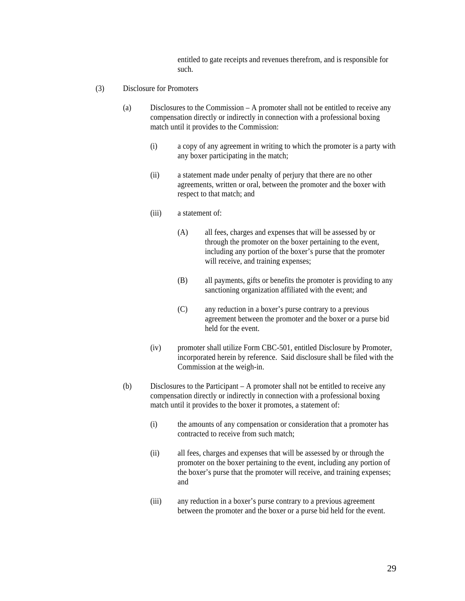entitled to gate receipts and revenues therefrom, and is responsible for such.

- (3) Disclosure for Promoters
	- (a) Disclosures to the Commission A promoter shall not be entitled to receive any compensation directly or indirectly in connection with a professional boxing match until it provides to the Commission:
		- (i) a copy of any agreement in writing to which the promoter is a party with any boxer participating in the match;
		- (ii) a statement made under penalty of perjury that there are no other agreements, written or oral, between the promoter and the boxer with respect to that match; and
		- (iii) a statement of:
			- (A) all fees, charges and expenses that will be assessed by or through the promoter on the boxer pertaining to the event, including any portion of the boxer's purse that the promoter will receive, and training expenses;
			- (B) all payments, gifts or benefits the promoter is providing to any sanctioning organization affiliated with the event; and
			- (C) any reduction in a boxer's purse contrary to a previous agreement between the promoter and the boxer or a purse bid held for the event.
		- (iv) promoter shall utilize Form CBC-501, entitled Disclosure by Promoter, incorporated herein by reference. Said disclosure shall be filed with the Commission at the weigh-in.
	- (b) Disclosures to the Participant A promoter shall not be entitled to receive any compensation directly or indirectly in connection with a professional boxing match until it provides to the boxer it promotes, a statement of:
		- (i) the amounts of any compensation or consideration that a promoter has contracted to receive from such match;
		- (ii) all fees, charges and expenses that will be assessed by or through the promoter on the boxer pertaining to the event, including any portion of the boxer's purse that the promoter will receive, and training expenses; and
		- (iii) any reduction in a boxer's purse contrary to a previous agreement between the promoter and the boxer or a purse bid held for the event.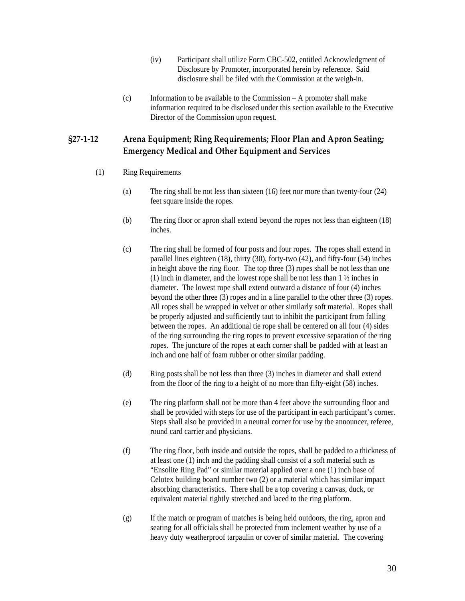- (iv) Participant shall utilize Form CBC-502, entitled Acknowledgment of Disclosure by Promoter, incorporated herein by reference. Said disclosure shall be filed with the Commission at the weigh-in.
- (c) Information to be available to the Commission A promoter shall make information required to be disclosed under this section available to the Executive Director of the Commission upon request.

# <span id="page-29-0"></span>**§27‐1‐12 Arena Equipment; Ring Requirements; Floor Plan and Apron Seating; Emergency Medical and Other Equipment and Services**

- (1) Ring Requirements
	- (a) The ring shall be not less than sixteen (16) feet nor more than twenty-four (24) feet square inside the ropes.
	- (b) The ring floor or apron shall extend beyond the ropes not less than eighteen (18) inches.
	- (c) The ring shall be formed of four posts and four ropes. The ropes shall extend in parallel lines eighteen (18), thirty (30), forty-two (42), and fifty-four (54) inches in height above the ring floor. The top three (3) ropes shall be not less than one (1) inch in diameter, and the lowest rope shall be not less than 1 ½ inches in diameter. The lowest rope shall extend outward a distance of four (4) inches beyond the other three (3) ropes and in a line parallel to the other three (3) ropes. All ropes shall be wrapped in velvet or other similarly soft material. Ropes shall be properly adjusted and sufficiently taut to inhibit the participant from falling between the ropes. An additional tie rope shall be centered on all four (4) sides of the ring surrounding the ring ropes to prevent excessive separation of the ring ropes. The juncture of the ropes at each corner shall be padded with at least an inch and one half of foam rubber or other similar padding.
	- (d) Ring posts shall be not less than three (3) inches in diameter and shall extend from the floor of the ring to a height of no more than fifty-eight (58) inches.
	- (e) The ring platform shall not be more than 4 feet above the surrounding floor and shall be provided with steps for use of the participant in each participant's corner. Steps shall also be provided in a neutral corner for use by the announcer, referee, round card carrier and physicians.
	- (f) The ring floor, both inside and outside the ropes, shall be padded to a thickness of at least one (1) inch and the padding shall consist of a soft material such as "Ensolite Ring Pad" or similar material applied over a one (1) inch base of Celotex building board number two (2) or a material which has similar impact absorbing characteristics. There shall be a top covering a canvas, duck, or equivalent material tightly stretched and laced to the ring platform.
	- (g) If the match or program of matches is being held outdoors, the ring, apron and seating for all officials shall be protected from inclement weather by use of a heavy duty weatherproof tarpaulin or cover of similar material. The covering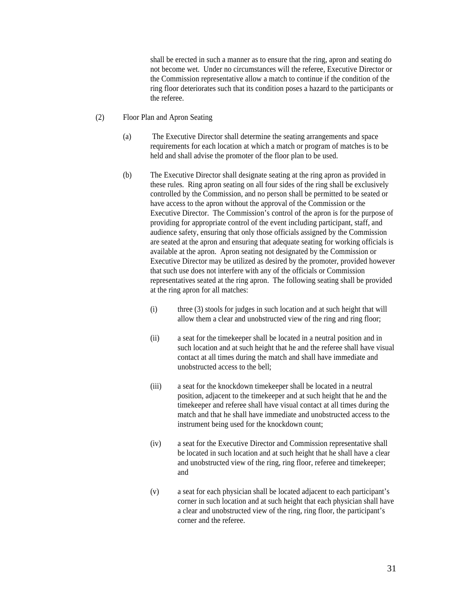shall be erected in such a manner as to ensure that the ring, apron and seating do not become wet. Under no circumstances will the referee, Executive Director or the Commission representative allow a match to continue if the condition of the ring floor deteriorates such that its condition poses a hazard to the participants or the referee.

- (2) Floor Plan and Apron Seating
	- (a) The Executive Director shall determine the seating arrangements and space requirements for each location at which a match or program of matches is to be held and shall advise the promoter of the floor plan to be used.
	- (b) The Executive Director shall designate seating at the ring apron as provided in these rules. Ring apron seating on all four sides of the ring shall be exclusively controlled by the Commission, and no person shall be permitted to be seated or have access to the apron without the approval of the Commission or the Executive Director. The Commission's control of the apron is for the purpose of providing for appropriate control of the event including participant, staff, and audience safety, ensuring that only those officials assigned by the Commission are seated at the apron and ensuring that adequate seating for working officials is available at the apron. Apron seating not designated by the Commission or Executive Director may be utilized as desired by the promoter, provided however that such use does not interfere with any of the officials or Commission representatives seated at the ring apron. The following seating shall be provided at the ring apron for all matches:
		- (i) three (3) stools for judges in such location and at such height that will allow them a clear and unobstructed view of the ring and ring floor;
		- (ii) a seat for the timekeeper shall be located in a neutral position and in such location and at such height that he and the referee shall have visual contact at all times during the match and shall have immediate and unobstructed access to the bell;
		- (iii) a seat for the knockdown timekeeper shall be located in a neutral position, adjacent to the timekeeper and at such height that he and the timekeeper and referee shall have visual contact at all times during the match and that he shall have immediate and unobstructed access to the instrument being used for the knockdown count;
		- (iv) a seat for the Executive Director and Commission representative shall be located in such location and at such height that he shall have a clear and unobstructed view of the ring, ring floor, referee and timekeeper; and
		- (v) a seat for each physician shall be located adjacent to each participant's corner in such location and at such height that each physician shall have a clear and unobstructed view of the ring, ring floor, the participant's corner and the referee.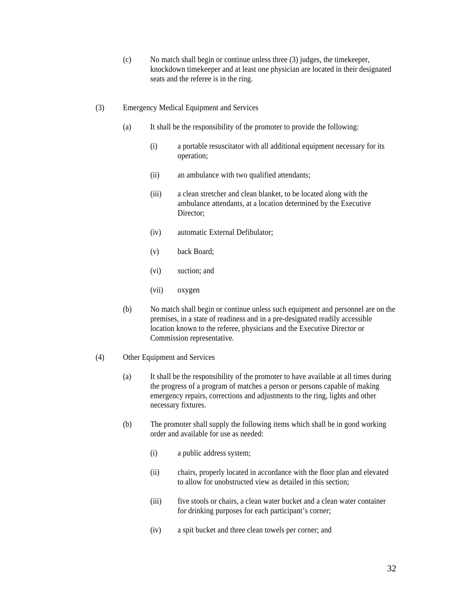- (c) No match shall begin or continue unless three (3) judges, the timekeeper, knockdown timekeeper and at least one physician are located in their designated seats and the referee is in the ring.
- (3) Emergency Medical Equipment and Services
	- (a) It shall be the responsibility of the promoter to provide the following:
		- (i) a portable resuscitator with all additional equipment necessary for its operation;
		- (ii) an ambulance with two qualified attendants;
		- (iii) a clean stretcher and clean blanket, to be located along with the ambulance attendants, at a location determined by the Executive Director:
		- (iv) automatic External Defibulator;
		- (v) back Board;
		- (vi) suction; and
		- (vii) oxygen
	- (b) No match shall begin or continue unless such equipment and personnel are on the premises, in a state of readiness and in a pre-designated readily accessible location known to the referee, physicians and the Executive Director or Commission representative.
- (4) Other Equipment and Services
	- (a) It shall be the responsibility of the promoter to have available at all times during the progress of a program of matches a person or persons capable of making emergency repairs, corrections and adjustments to the ring, lights and other necessary fixtures.
	- (b) The promoter shall supply the following items which shall be in good working order and available for use as needed:
		- (i) a public address system;
		- (ii) chairs, properly located in accordance with the floor plan and elevated to allow for unobstructed view as detailed in this section;
		- (iii) five stools or chairs, a clean water bucket and a clean water container for drinking purposes for each participant's corner;
		- (iv) a spit bucket and three clean towels per corner; and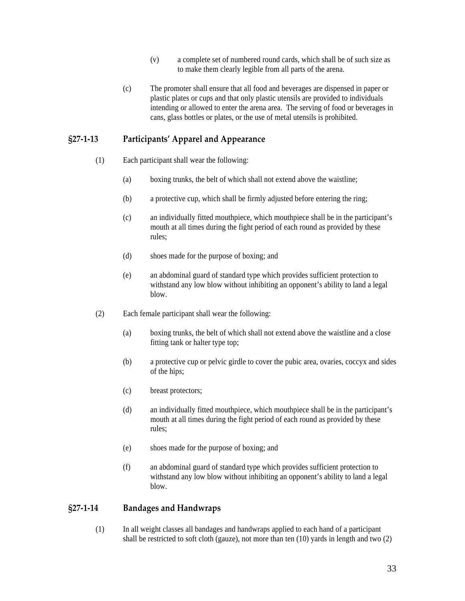- (v) a complete set of numbered round cards, which shall be of such size as to make them clearly legible from all parts of the arena.
- <span id="page-32-0"></span>(c) The promoter shall ensure that all food and beverages are dispensed in paper or plastic plates or cups and that only plastic utensils are provided to individuals intending or allowed to enter the arena area. The serving of food or beverages in cans, glass bottles or plates, or the use of metal utensils is prohibited.

## **§27‐1‐13 Participants' Apparel and Appearance**

- (1) Each participant shall wear the following:
	- (a) boxing trunks, the belt of which shall not extend above the waistline;
	- (b) a protective cup, which shall be firmly adjusted before entering the ring;
	- (c) an individually fitted mouthpiece, which mouthpiece shall be in the participant's mouth at all times during the fight period of each round as provided by these rules;
	- (d) shoes made for the purpose of boxing; and
	- (e) an abdominal guard of standard type which provides sufficient protection to withstand any low blow without inhibiting an opponent's ability to land a legal blow.
- (2) Each female participant shall wear the following:
	- (a) boxing trunks, the belt of which shall not extend above the waistline and a close fitting tank or halter type top;
	- (b) a protective cup or pelvic girdle to cover the pubic area, ovaries, coccyx and sides of the hips;
	- (c) breast protectors;
	- (d) an individually fitted mouthpiece, which mouthpiece shall be in the participant's mouth at all times during the fight period of each round as provided by these rules;
	- (e) shoes made for the purpose of boxing; and
	- (f) an abdominal guard of standard type which provides sufficient protection to withstand any low blow without inhibiting an opponent's ability to land a legal blow.

#### **§27‐1‐14 Bandages and Handwraps**

(1) In all weight classes all bandages and handwraps applied to each hand of a participant shall be restricted to soft cloth (gauze), not more than ten  $(10)$  yards in length and two  $(2)$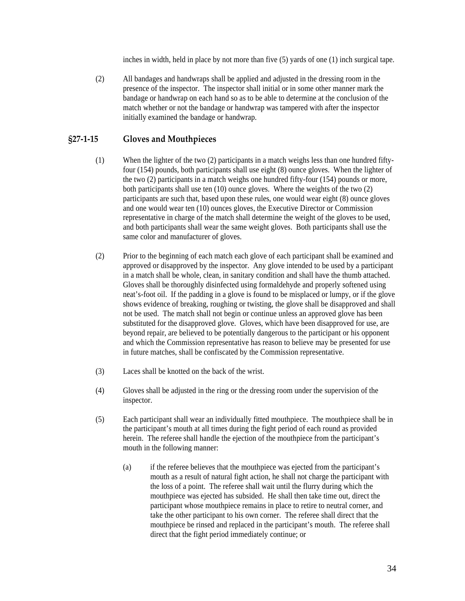inches in width, held in place by not more than five (5) yards of one (1) inch surgical tape.

<span id="page-33-0"></span>(2) All bandages and handwraps shall be applied and adjusted in the dressing room in the presence of the inspector. The inspector shall initial or in some other manner mark the bandage or handwrap on each hand so as to be able to determine at the conclusion of the match whether or not the bandage or handwrap was tampered with after the inspector initially examined the bandage or handwrap.

# **§27‐1‐15 Gloves and Mouthpieces**

- (1) When the lighter of the two (2) participants in a match weighs less than one hundred fiftyfour (154) pounds, both participants shall use eight (8) ounce gloves. When the lighter of the two (2) participants in a match weighs one hundred fifty-four (154) pounds or more, both participants shall use ten (10) ounce gloves. Where the weights of the two (2) participants are such that, based upon these rules, one would wear eight (8) ounce gloves and one would wear ten (10) ounces gloves, the Executive Director or Commission representative in charge of the match shall determine the weight of the gloves to be used, and both participants shall wear the same weight gloves. Both participants shall use the same color and manufacturer of gloves.
- (2) Prior to the beginning of each match each glove of each participant shall be examined and approved or disapproved by the inspector. Any glove intended to be used by a participant in a match shall be whole, clean, in sanitary condition and shall have the thumb attached. Gloves shall be thoroughly disinfected using formaldehyde and properly softened using neat's-foot oil. If the padding in a glove is found to be misplaced or lumpy, or if the glove shows evidence of breaking, roughing or twisting, the glove shall be disapproved and shall not be used. The match shall not begin or continue unless an approved glove has been substituted for the disapproved glove. Gloves, which have been disapproved for use, are beyond repair, are believed to be potentially dangerous to the participant or his opponent and which the Commission representative has reason to believe may be presented for use in future matches, shall be confiscated by the Commission representative.
- (3) Laces shall be knotted on the back of the wrist.
- (4) Gloves shall be adjusted in the ring or the dressing room under the supervision of the inspector.
- (5) Each participant shall wear an individually fitted mouthpiece. The mouthpiece shall be in the participant's mouth at all times during the fight period of each round as provided herein. The referee shall handle the ejection of the mouthpiece from the participant's mouth in the following manner:
	- (a) if the referee believes that the mouthpiece was ejected from the participant's mouth as a result of natural fight action, he shall not charge the participant with the loss of a point. The referee shall wait until the flurry during which the mouthpiece was ejected has subsided. He shall then take time out, direct the participant whose mouthpiece remains in place to retire to neutral corner, and take the other participant to his own corner. The referee shall direct that the mouthpiece be rinsed and replaced in the participant's mouth. The referee shall direct that the fight period immediately continue; or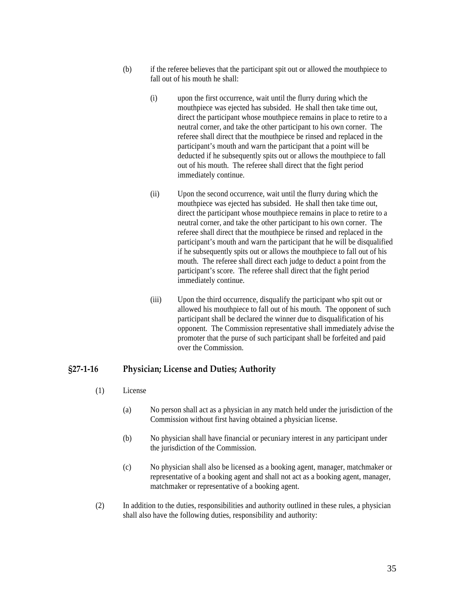- <span id="page-34-0"></span>(b) if the referee believes that the participant spit out or allowed the mouthpiece to fall out of his mouth he shall:
	- (i) upon the first occurrence, wait until the flurry during which the mouthpiece was ejected has subsided. He shall then take time out, direct the participant whose mouthpiece remains in place to retire to a neutral corner, and take the other participant to his own corner. The referee shall direct that the mouthpiece be rinsed and replaced in the participant's mouth and warn the participant that a point will be deducted if he subsequently spits out or allows the mouthpiece to fall out of his mouth. The referee shall direct that the fight period immediately continue.
	- (ii) Upon the second occurrence, wait until the flurry during which the mouthpiece was ejected has subsided. He shall then take time out, direct the participant whose mouthpiece remains in place to retire to a neutral corner, and take the other participant to his own corner. The referee shall direct that the mouthpiece be rinsed and replaced in the participant's mouth and warn the participant that he will be disqualified if he subsequently spits out or allows the mouthpiece to fall out of his mouth. The referee shall direct each judge to deduct a point from the participant's score. The referee shall direct that the fight period immediately continue.
	- (iii) Upon the third occurrence, disqualify the participant who spit out or allowed his mouthpiece to fall out of his mouth. The opponent of such participant shall be declared the winner due to disqualification of his opponent. The Commission representative shall immediately advise the promoter that the purse of such participant shall be forfeited and paid over the Commission.

#### **§27‐1‐16 Physician; License and Duties; Authority**

- (1) License
	- (a) No person shall act as a physician in any match held under the jurisdiction of the Commission without first having obtained a physician license.
	- (b) No physician shall have financial or pecuniary interest in any participant under the jurisdiction of the Commission.
	- (c) No physician shall also be licensed as a booking agent, manager, matchmaker or representative of a booking agent and shall not act as a booking agent, manager, matchmaker or representative of a booking agent.
- (2) In addition to the duties, responsibilities and authority outlined in these rules, a physician shall also have the following duties, responsibility and authority: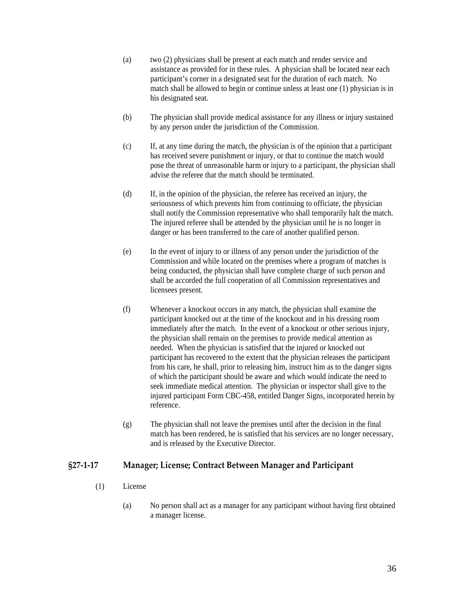- <span id="page-35-0"></span>(a) two (2) physicians shall be present at each match and render service and assistance as provided for in these rules. A physician shall be located near each participant's corner in a designated seat for the duration of each match. No match shall be allowed to begin or continue unless at least one (1) physician is in his designated seat.
- (b) The physician shall provide medical assistance for any illness or injury sustained by any person under the jurisdiction of the Commission.
- (c) If, at any time during the match, the physician is of the opinion that a participant has received severe punishment or injury, or that to continue the match would pose the threat of unreasonable harm or injury to a participant, the physician shall advise the referee that the match should be terminated.
- (d) If, in the opinion of the physician, the referee has received an injury, the seriousness of which prevents him from continuing to officiate, the physician shall notify the Commission representative who shall temporarily halt the match. The injured referee shall be attended by the physician until he is no longer in danger or has been transferred to the care of another qualified person.
- (e) In the event of injury to or illness of any person under the jurisdiction of the Commission and while located on the premises where a program of matches is being conducted, the physician shall have complete charge of such person and shall be accorded the full cooperation of all Commission representatives and licensees present.
- (f) Whenever a knockout occurs in any match, the physician shall examine the participant knocked out at the time of the knockout and in his dressing room immediately after the match. In the event of a knockout or other serious injury, the physician shall remain on the premises to provide medical attention as needed. When the physician is satisfied that the injured or knocked out participant has recovered to the extent that the physician releases the participant from his care, he shall, prior to releasing him, instruct him as to the danger signs of which the participant should be aware and which would indicate the need to seek immediate medical attention. The physician or inspector shall give to the injured participant Form CBC-458, entitled Danger Signs, incorporated herein by reference.
- (g) The physician shall not leave the premises until after the decision in the final match has been rendered, he is satisfied that his services are no longer necessary, and is released by the Executive Director.

### **§27‐1‐17 Manager; License; Contract Between Manager and Participant**

- (1) License
	- (a) No person shall act as a manager for any participant without having first obtained a manager license.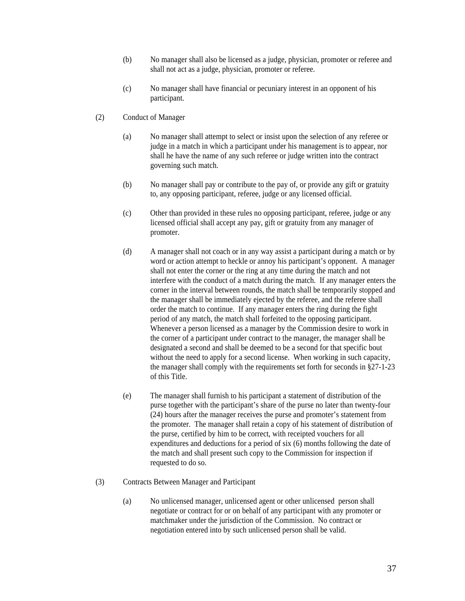- (b) No manager shall also be licensed as a judge, physician, promoter or referee and shall not act as a judge, physician, promoter or referee.
- (c) No manager shall have financial or pecuniary interest in an opponent of his participant.
- (2) Conduct of Manager
	- (a) No manager shall attempt to select or insist upon the selection of any referee or judge in a match in which a participant under his management is to appear, nor shall he have the name of any such referee or judge written into the contract governing such match.
	- (b) No manager shall pay or contribute to the pay of, or provide any gift or gratuity to, any opposing participant, referee, judge or any licensed official.
	- (c) Other than provided in these rules no opposing participant, referee, judge or any licensed official shall accept any pay, gift or gratuity from any manager of promoter.
	- (d) A manager shall not coach or in any way assist a participant during a match or by word or action attempt to heckle or annoy his participant's opponent. A manager shall not enter the corner or the ring at any time during the match and not interfere with the conduct of a match during the match. If any manager enters the corner in the interval between rounds, the match shall be temporarily stopped and the manager shall be immediately ejected by the referee, and the referee shall order the match to continue. If any manager enters the ring during the fight period of any match, the match shall forfeited to the opposing participant. Whenever a person licensed as a manager by the Commission desire to work in the corner of a participant under contract to the manager, the manager shall be designated a second and shall be deemed to be a second for that specific bout without the need to apply for a second license. When working in such capacity, the manager shall comply with the requirements set forth for seconds in §27-1-23 of this Title.
	- (e) The manager shall furnish to his participant a statement of distribution of the purse together with the participant's share of the purse no later than twenty-four (24) hours after the manager receives the purse and promoter's statement from the promoter. The manager shall retain a copy of his statement of distribution of the purse, certified by him to be correct, with receipted vouchers for all expenditures and deductions for a period of six (6) months following the date of the match and shall present such copy to the Commission for inspection if requested to do so.
- (3) Contracts Between Manager and Participant
	- (a) No unlicensed manager, unlicensed agent or other unlicensed person shall negotiate or contract for or on behalf of any participant with any promoter or matchmaker under the jurisdiction of the Commission. No contract or negotiation entered into by such unlicensed person shall be valid.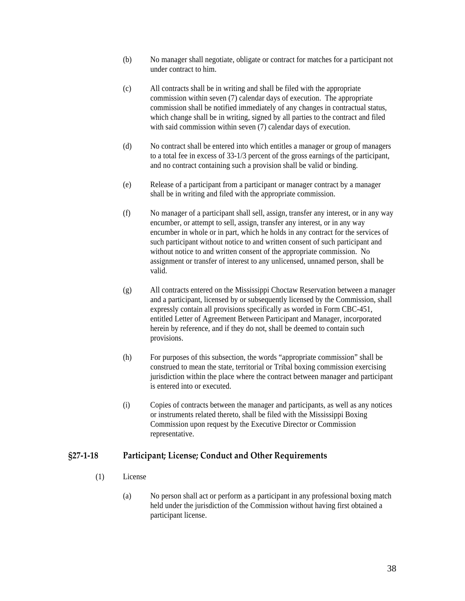- <span id="page-37-0"></span>(b) No manager shall negotiate, obligate or contract for matches for a participant not under contract to him.
- (c) All contracts shall be in writing and shall be filed with the appropriate commission within seven (7) calendar days of execution. The appropriate commission shall be notified immediately of any changes in contractual status, which change shall be in writing, signed by all parties to the contract and filed with said commission within seven (7) calendar days of execution.
- (d) No contract shall be entered into which entitles a manager or group of managers to a total fee in excess of 33-1/3 percent of the gross earnings of the participant, and no contract containing such a provision shall be valid or binding.
- (e) Release of a participant from a participant or manager contract by a manager shall be in writing and filed with the appropriate commission.
- (f) No manager of a participant shall sell, assign, transfer any interest, or in any way encumber, or attempt to sell, assign, transfer any interest, or in any way encumber in whole or in part, which he holds in any contract for the services of such participant without notice to and written consent of such participant and without notice to and written consent of the appropriate commission. No assignment or transfer of interest to any unlicensed, unnamed person, shall be valid.
- (g) All contracts entered on the Mississippi Choctaw Reservation between a manager and a participant, licensed by or subsequently licensed by the Commission, shall expressly contain all provisions specifically as worded in Form CBC-451, entitled Letter of Agreement Between Participant and Manager, incorporated herein by reference, and if they do not, shall be deemed to contain such provisions.
- (h) For purposes of this subsection, the words "appropriate commission" shall be construed to mean the state, territorial or Tribal boxing commission exercising jurisdiction within the place where the contract between manager and participant is entered into or executed.
- (i) Copies of contracts between the manager and participants, as well as any notices or instruments related thereto, shall be filed with the Mississippi Boxing Commission upon request by the Executive Director or Commission representative.

### **§27‐1‐18 Participant; License; Conduct and Other Requirements**

- (1) License
	- (a) No person shall act or perform as a participant in any professional boxing match held under the jurisdiction of the Commission without having first obtained a participant license.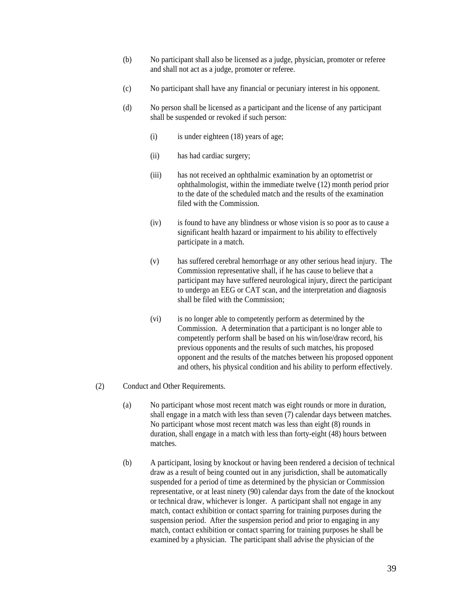- (b) No participant shall also be licensed as a judge, physician, promoter or referee and shall not act as a judge, promoter or referee.
- (c) No participant shall have any financial or pecuniary interest in his opponent.
- (d) No person shall be licensed as a participant and the license of any participant shall be suspended or revoked if such person:
	- (i) is under eighteen (18) years of age;
	- (ii) has had cardiac surgery;
	- (iii) has not received an ophthalmic examination by an optometrist or ophthalmologist, within the immediate twelve (12) month period prior to the date of the scheduled match and the results of the examination filed with the Commission.
	- (iv) is found to have any blindness or whose vision is so poor as to cause a significant health hazard or impairment to his ability to effectively participate in a match.
	- (v) has suffered cerebral hemorrhage or any other serious head injury. The Commission representative shall, if he has cause to believe that a participant may have suffered neurological injury, direct the participant to undergo an EEG or CAT scan, and the interpretation and diagnosis shall be filed with the Commission;
	- (vi) is no longer able to competently perform as determined by the Commission. A determination that a participant is no longer able to competently perform shall be based on his win/lose/draw record, his previous opponents and the results of such matches, his proposed opponent and the results of the matches between his proposed opponent and others, his physical condition and his ability to perform effectively.
- (2) Conduct and Other Requirements.
	- (a) No participant whose most recent match was eight rounds or more in duration, shall engage in a match with less than seven (7) calendar days between matches. No participant whose most recent match was less than eight (8) rounds in duration, shall engage in a match with less than forty-eight (48) hours between matches.
	- (b) A participant, losing by knockout or having been rendered a decision of technical draw as a result of being counted out in any jurisdiction, shall be automatically suspended for a period of time as determined by the physician or Commission representative, or at least ninety (90) calendar days from the date of the knockout or technical draw, whichever is longer. A participant shall not engage in any match, contact exhibition or contact sparring for training purposes during the suspension period. After the suspension period and prior to engaging in any match, contact exhibition or contact sparring for training purposes he shall be examined by a physician. The participant shall advise the physician of the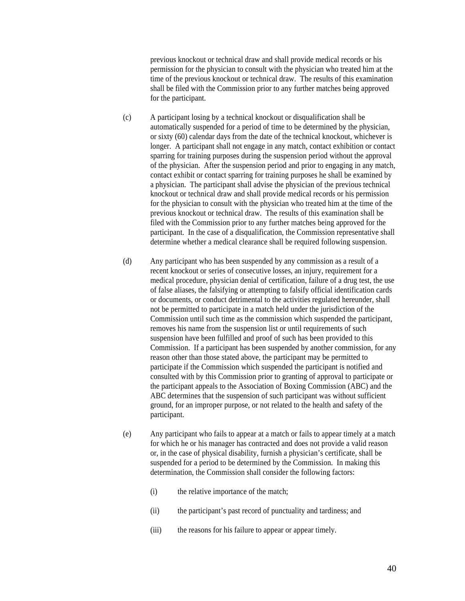previous knockout or technical draw and shall provide medical records or his permission for the physician to consult with the physician who treated him at the time of the previous knockout or technical draw. The results of this examination shall be filed with the Commission prior to any further matches being approved for the participant.

- (c) A participant losing by a technical knockout or disqualification shall be automatically suspended for a period of time to be determined by the physician, or sixty (60) calendar days from the date of the technical knockout, whichever is longer. A participant shall not engage in any match, contact exhibition or contact sparring for training purposes during the suspension period without the approval of the physician. After the suspension period and prior to engaging in any match, contact exhibit or contact sparring for training purposes he shall be examined by a physician. The participant shall advise the physician of the previous technical knockout or technical draw and shall provide medical records or his permission for the physician to consult with the physician who treated him at the time of the previous knockout or technical draw. The results of this examination shall be filed with the Commission prior to any further matches being approved for the participant. In the case of a disqualification, the Commission representative shall determine whether a medical clearance shall be required following suspension.
- (d) Any participant who has been suspended by any commission as a result of a recent knockout or series of consecutive losses, an injury, requirement for a medical procedure, physician denial of certification, failure of a drug test, the use of false aliases, the falsifying or attempting to falsify official identification cards or documents, or conduct detrimental to the activities regulated hereunder, shall not be permitted to participate in a match held under the jurisdiction of the Commission until such time as the commission which suspended the participant, removes his name from the suspension list or until requirements of such suspension have been fulfilled and proof of such has been provided to this Commission. If a participant has been suspended by another commission, for any reason other than those stated above, the participant may be permitted to participate if the Commission which suspended the participant is notified and consulted with by this Commission prior to granting of approval to participate or the participant appeals to the Association of Boxing Commission (ABC) and the ABC determines that the suspension of such participant was without sufficient ground, for an improper purpose, or not related to the health and safety of the participant.
- (e) Any participant who fails to appear at a match or fails to appear timely at a match for which he or his manager has contracted and does not provide a valid reason or, in the case of physical disability, furnish a physician's certificate, shall be suspended for a period to be determined by the Commission. In making this determination, the Commission shall consider the following factors:
	- (i) the relative importance of the match;
	- (ii) the participant's past record of punctuality and tardiness; and
	- (iii) the reasons for his failure to appear or appear timely.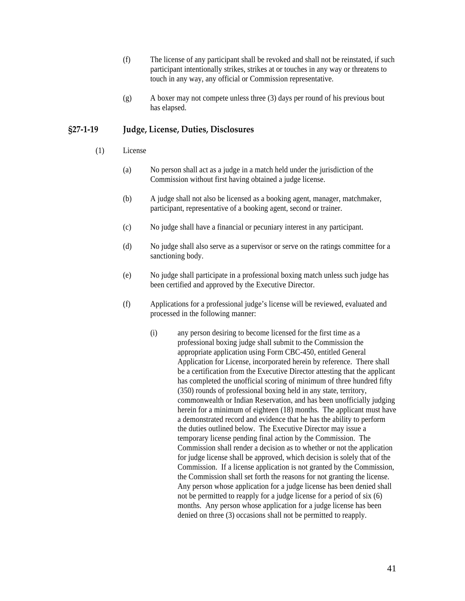- <span id="page-40-0"></span>(f) The license of any participant shall be revoked and shall not be reinstated, if such participant intentionally strikes, strikes at or touches in any way or threatens to touch in any way, any official or Commission representative.
- (g) A boxer may not compete unless three (3) days per round of his previous bout has elapsed.

### **§27‐1‐19 Judge, License, Duties, Disclosures**

- (1) License
	- (a) No person shall act as a judge in a match held under the jurisdiction of the Commission without first having obtained a judge license.
	- (b) A judge shall not also be licensed as a booking agent, manager, matchmaker, participant, representative of a booking agent, second or trainer.
	- (c) No judge shall have a financial or pecuniary interest in any participant.
	- (d) No judge shall also serve as a supervisor or serve on the ratings committee for a sanctioning body.
	- (e) No judge shall participate in a professional boxing match unless such judge has been certified and approved by the Executive Director.
	- (f) Applications for a professional judge's license will be reviewed, evaluated and processed in the following manner:
		- (i) any person desiring to become licensed for the first time as a professional boxing judge shall submit to the Commission the appropriate application using Form CBC-450, entitled General Application for License, incorporated herein by reference. There shall be a certification from the Executive Director attesting that the applicant has completed the unofficial scoring of minimum of three hundred fifty (350) rounds of professional boxing held in any state, territory, commonwealth or Indian Reservation, and has been unofficially judging herein for a minimum of eighteen (18) months. The applicant must have a demonstrated record and evidence that he has the ability to perform the duties outlined below. The Executive Director may issue a temporary license pending final action by the Commission. The Commission shall render a decision as to whether or not the application for judge license shall be approved, which decision is solely that of the Commission. If a license application is not granted by the Commission, the Commission shall set forth the reasons for not granting the license. Any person whose application for a judge license has been denied shall not be permitted to reapply for a judge license for a period of six (6) months. Any person whose application for a judge license has been denied on three (3) occasions shall not be permitted to reapply.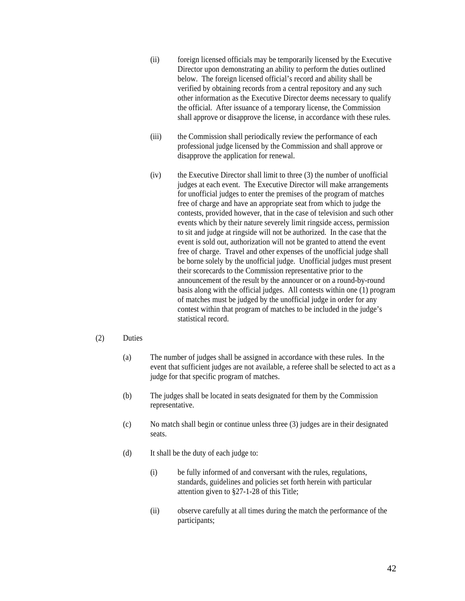- (ii) foreign licensed officials may be temporarily licensed by the Executive Director upon demonstrating an ability to perform the duties outlined below. The foreign licensed official's record and ability shall be verified by obtaining records from a central repository and any such other information as the Executive Director deems necessary to qualify the official. After issuance of a temporary license, the Commission shall approve or disapprove the license, in accordance with these rules.
- (iii) the Commission shall periodically review the performance of each professional judge licensed by the Commission and shall approve or disapprove the application for renewal.
- (iv) the Executive Director shall limit to three (3) the number of unofficial judges at each event. The Executive Director will make arrangements for unofficial judges to enter the premises of the program of matches free of charge and have an appropriate seat from which to judge the contests, provided however, that in the case of television and such other events which by their nature severely limit ringside access, permission to sit and judge at ringside will not be authorized. In the case that the event is sold out, authorization will not be granted to attend the event free of charge. Travel and other expenses of the unofficial judge shall be borne solely by the unofficial judge. Unofficial judges must present their scorecards to the Commission representative prior to the announcement of the result by the announcer or on a round-by-round basis along with the official judges. All contests within one (1) program of matches must be judged by the unofficial judge in order for any contest within that program of matches to be included in the judge's statistical record.

#### (2) Duties

- (a) The number of judges shall be assigned in accordance with these rules. In the event that sufficient judges are not available, a referee shall be selected to act as a judge for that specific program of matches.
- (b) The judges shall be located in seats designated for them by the Commission representative.
- (c) No match shall begin or continue unless three (3) judges are in their designated seats.
- (d) It shall be the duty of each judge to:
	- (i) be fully informed of and conversant with the rules, regulations, standards, guidelines and policies set forth herein with particular attention given to §27-1-28 of this Title;
	- (ii) observe carefully at all times during the match the performance of the participants;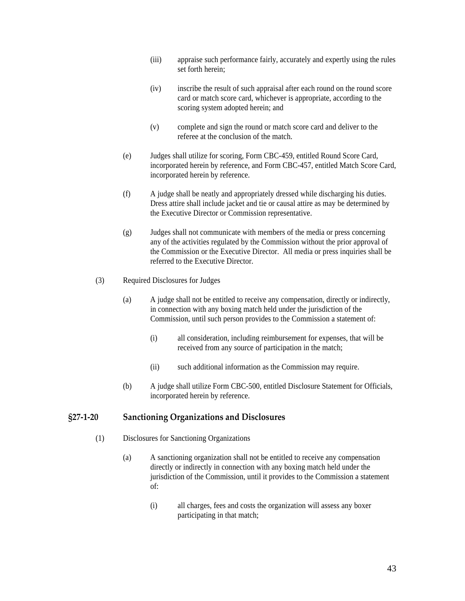- <span id="page-42-0"></span>(iii) appraise such performance fairly, accurately and expertly using the rules set forth herein;
- (iv) inscribe the result of such appraisal after each round on the round score card or match score card, whichever is appropriate, according to the scoring system adopted herein; and
- (v) complete and sign the round or match score card and deliver to the referee at the conclusion of the match.
- (e) Judges shall utilize for scoring, Form CBC-459, entitled Round Score Card, incorporated herein by reference, and Form CBC-457, entitled Match Score Card, incorporated herein by reference.
- (f) A judge shall be neatly and appropriately dressed while discharging his duties. Dress attire shall include jacket and tie or causal attire as may be determined by the Executive Director or Commission representative.
- (g) Judges shall not communicate with members of the media or press concerning any of the activities regulated by the Commission without the prior approval of the Commission or the Executive Director. All media or press inquiries shall be referred to the Executive Director.
- (3) Required Disclosures for Judges
	- (a) A judge shall not be entitled to receive any compensation, directly or indirectly, in connection with any boxing match held under the jurisdiction of the Commission, until such person provides to the Commission a statement of:
		- (i) all consideration, including reimbursement for expenses, that will be received from any source of participation in the match;
		- (ii) such additional information as the Commission may require.
	- (b) A judge shall utilize Form CBC-500, entitled Disclosure Statement for Officials, incorporated herein by reference.

#### **§27‐1‐20 Sanctioning Organizations and Disclosures**

- (1) Disclosures for Sanctioning Organizations
	- (a) A sanctioning organization shall not be entitled to receive any compensation directly or indirectly in connection with any boxing match held under the jurisdiction of the Commission, until it provides to the Commission a statement of:
		- (i) all charges, fees and costs the organization will assess any boxer participating in that match;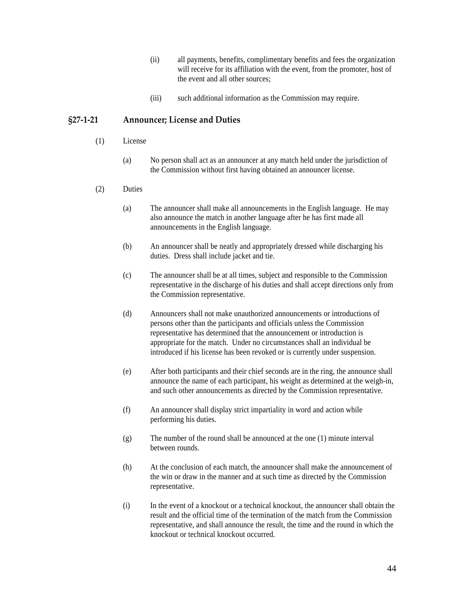- (ii) all payments, benefits, complimentary benefits and fees the organization will receive for its affiliation with the event, from the promoter, host of the event and all other sources;
- (iii) such additional information as the Commission may require.

#### <span id="page-43-0"></span>**§27‐1‐21 Announcer; License and Duties**

- (1) License
	- (a) No person shall act as an announcer at any match held under the jurisdiction of the Commission without first having obtained an announcer license.
- (2) Duties
	- (a) The announcer shall make all announcements in the English language. He may also announce the match in another language after he has first made all announcements in the English language.
	- (b) An announcer shall be neatly and appropriately dressed while discharging his duties. Dress shall include jacket and tie.
	- (c) The announcer shall be at all times, subject and responsible to the Commission representative in the discharge of his duties and shall accept directions only from the Commission representative.
	- (d) Announcers shall not make unauthorized announcements or introductions of persons other than the participants and officials unless the Commission representative has determined that the announcement or introduction is appropriate for the match. Under no circumstances shall an individual be introduced if his license has been revoked or is currently under suspension.
	- (e) After both participants and their chief seconds are in the ring, the announce shall announce the name of each participant, his weight as determined at the weigh-in, and such other announcements as directed by the Commission representative.
	- (f) An announcer shall display strict impartiality in word and action while performing his duties.
	- (g) The number of the round shall be announced at the one (1) minute interval between rounds.
	- (h) At the conclusion of each match, the announcer shall make the announcement of the win or draw in the manner and at such time as directed by the Commission representative.
	- (i) In the event of a knockout or a technical knockout, the announcer shall obtain the result and the official time of the termination of the match from the Commission representative, and shall announce the result, the time and the round in which the knockout or technical knockout occurred.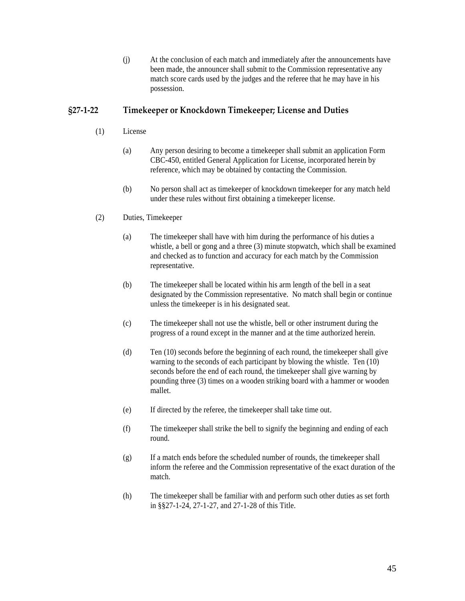(j) At the conclusion of each match and immediately after the announcements have been made, the announcer shall submit to the Commission representative any match score cards used by the judges and the referee that he may have in his possession.

## <span id="page-44-0"></span>**§27‐1‐22 Timekeeper or Knockdown Timekeeper; License and Duties**

- (1) License
	- (a) Any person desiring to become a timekeeper shall submit an application Form CBC-450, entitled General Application for License, incorporated herein by reference, which may be obtained by contacting the Commission.
	- (b) No person shall act as timekeeper of knockdown timekeeper for any match held under these rules without first obtaining a timekeeper license.
- (2) Duties, Timekeeper
	- (a) The timekeeper shall have with him during the performance of his duties a whistle, a bell or gong and a three (3) minute stopwatch, which shall be examined and checked as to function and accuracy for each match by the Commission representative.
	- (b) The timekeeper shall be located within his arm length of the bell in a seat designated by the Commission representative. No match shall begin or continue unless the timekeeper is in his designated seat.
	- (c) The timekeeper shall not use the whistle, bell or other instrument during the progress of a round except in the manner and at the time authorized herein.
	- (d) Ten (10) seconds before the beginning of each round, the timekeeper shall give warning to the seconds of each participant by blowing the whistle. Ten (10) seconds before the end of each round, the timekeeper shall give warning by pounding three (3) times on a wooden striking board with a hammer or wooden mallet.
	- (e) If directed by the referee, the timekeeper shall take time out.
	- (f) The timekeeper shall strike the bell to signify the beginning and ending of each round.
	- (g) If a match ends before the scheduled number of rounds, the timekeeper shall inform the referee and the Commission representative of the exact duration of the match.
	- (h) The timekeeper shall be familiar with and perform such other duties as set forth in §§27-1-24, 27-1-27, and 27-1-28 of this Title.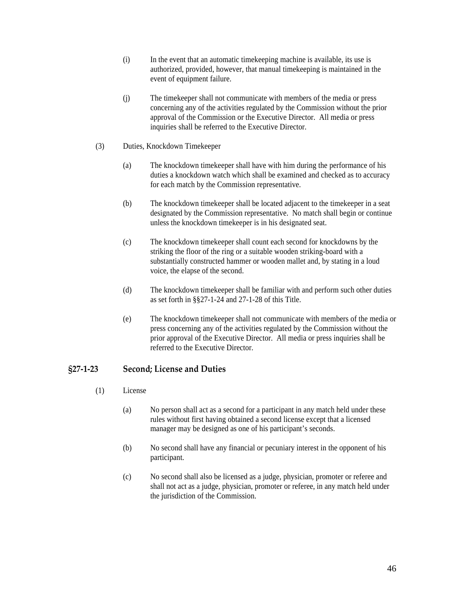- <span id="page-45-0"></span>(i) In the event that an automatic timekeeping machine is available, its use is authorized, provided, however, that manual timekeeping is maintained in the event of equipment failure.
- (j) The timekeeper shall not communicate with members of the media or press concerning any of the activities regulated by the Commission without the prior approval of the Commission or the Executive Director. All media or press inquiries shall be referred to the Executive Director.
- (3) Duties, Knockdown Timekeeper
	- (a) The knockdown timekeeper shall have with him during the performance of his duties a knockdown watch which shall be examined and checked as to accuracy for each match by the Commission representative.
	- (b) The knockdown timekeeper shall be located adjacent to the timekeeper in a seat designated by the Commission representative. No match shall begin or continue unless the knockdown timekeeper is in his designated seat.
	- (c) The knockdown timekeeper shall count each second for knockdowns by the striking the floor of the ring or a suitable wooden striking-board with a substantially constructed hammer or wooden mallet and, by stating in a loud voice, the elapse of the second.
	- (d) The knockdown timekeeper shall be familiar with and perform such other duties as set forth in §§27-1-24 and 27-1-28 of this Title.
	- (e) The knockdown timekeeper shall not communicate with members of the media or press concerning any of the activities regulated by the Commission without the prior approval of the Executive Director. All media or press inquiries shall be referred to the Executive Director.

### **§27‐1‐23 Second; License and Duties**

- (1) License
	- (a) No person shall act as a second for a participant in any match held under these rules without first having obtained a second license except that a licensed manager may be designed as one of his participant's seconds.
	- (b) No second shall have any financial or pecuniary interest in the opponent of his participant.
	- (c) No second shall also be licensed as a judge, physician, promoter or referee and shall not act as a judge, physician, promoter or referee, in any match held under the jurisdiction of the Commission.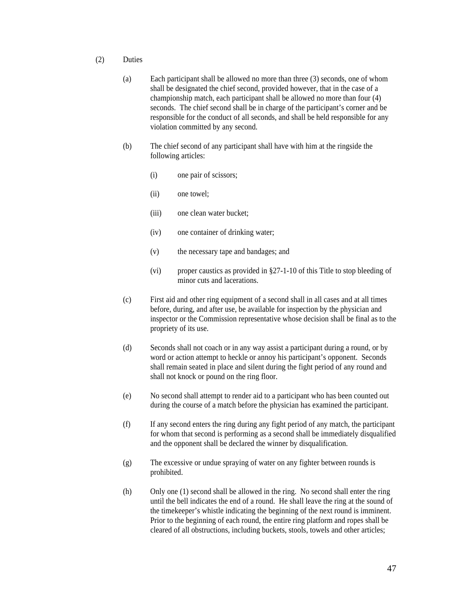- (2) Duties
	- (a) Each participant shall be allowed no more than three (3) seconds, one of whom shall be designated the chief second, provided however, that in the case of a championship match, each participant shall be allowed no more than four (4) seconds. The chief second shall be in charge of the participant's corner and be responsible for the conduct of all seconds, and shall be held responsible for any violation committed by any second.
	- (b) The chief second of any participant shall have with him at the ringside the following articles:
		- (i) one pair of scissors;
		- (ii) one towel;
		- (iii) one clean water bucket;
		- (iv) one container of drinking water;
		- (v) the necessary tape and bandages; and
		- (vi) proper caustics as provided in §27-1-10 of this Title to stop bleeding of minor cuts and lacerations.
	- (c) First aid and other ring equipment of a second shall in all cases and at all times before, during, and after use, be available for inspection by the physician and inspector or the Commission representative whose decision shall be final as to the propriety of its use.
	- (d) Seconds shall not coach or in any way assist a participant during a round, or by word or action attempt to heckle or annoy his participant's opponent. Seconds shall remain seated in place and silent during the fight period of any round and shall not knock or pound on the ring floor.
	- (e) No second shall attempt to render aid to a participant who has been counted out during the course of a match before the physician has examined the participant.
	- (f) If any second enters the ring during any fight period of any match, the participant for whom that second is performing as a second shall be immediately disqualified and the opponent shall be declared the winner by disqualification.
	- (g) The excessive or undue spraying of water on any fighter between rounds is prohibited.
	- (h) Only one (1) second shall be allowed in the ring. No second shall enter the ring until the bell indicates the end of a round. He shall leave the ring at the sound of the timekeeper's whistle indicating the beginning of the next round is imminent. Prior to the beginning of each round, the entire ring platform and ropes shall be cleared of all obstructions, including buckets, stools, towels and other articles;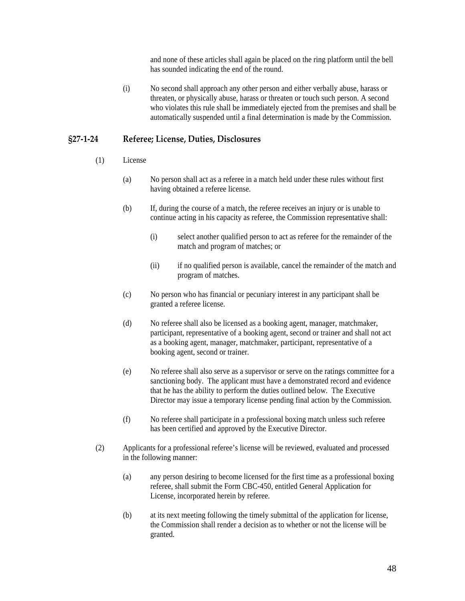and none of these articles shall again be placed on the ring platform until the bell has sounded indicating the end of the round.

<span id="page-47-0"></span>(i) No second shall approach any other person and either verbally abuse, harass or threaten, or physically abuse, harass or threaten or touch such person. A second who violates this rule shall be immediately ejected from the premises and shall be automatically suspended until a final determination is made by the Commission.

#### **§27‐1‐24 Referee; License, Duties, Disclosures**

- (1) License
	- (a) No person shall act as a referee in a match held under these rules without first having obtained a referee license.
	- (b) If, during the course of a match, the referee receives an injury or is unable to continue acting in his capacity as referee, the Commission representative shall:
		- (i) select another qualified person to act as referee for the remainder of the match and program of matches; or
		- (ii) if no qualified person is available, cancel the remainder of the match and program of matches.
	- (c) No person who has financial or pecuniary interest in any participant shall be granted a referee license.
	- (d) No referee shall also be licensed as a booking agent, manager, matchmaker, participant, representative of a booking agent, second or trainer and shall not act as a booking agent, manager, matchmaker, participant, representative of a booking agent, second or trainer.
	- (e) No referee shall also serve as a supervisor or serve on the ratings committee for a sanctioning body. The applicant must have a demonstrated record and evidence that he has the ability to perform the duties outlined below. The Executive Director may issue a temporary license pending final action by the Commission.
	- (f) No referee shall participate in a professional boxing match unless such referee has been certified and approved by the Executive Director.
- (2) Applicants for a professional referee's license will be reviewed, evaluated and processed in the following manner:
	- (a) any person desiring to become licensed for the first time as a professional boxing referee, shall submit the Form CBC-450, entitled General Application for License, incorporated herein by referee.
	- (b) at its next meeting following the timely submittal of the application for license, the Commission shall render a decision as to whether or not the license will be granted.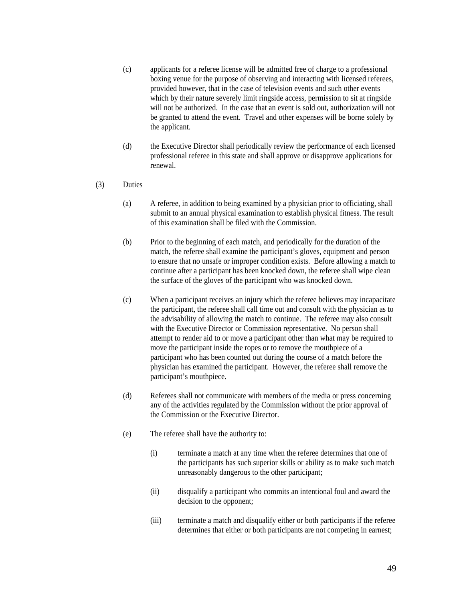- (c) applicants for a referee license will be admitted free of charge to a professional boxing venue for the purpose of observing and interacting with licensed referees, provided however, that in the case of television events and such other events which by their nature severely limit ringside access, permission to sit at ringside will not be authorized. In the case that an event is sold out, authorization will not be granted to attend the event. Travel and other expenses will be borne solely by the applicant.
- (d) the Executive Director shall periodically review the performance of each licensed professional referee in this state and shall approve or disapprove applications for renewal.
- (3) Duties
	- (a) A referee, in addition to being examined by a physician prior to officiating, shall submit to an annual physical examination to establish physical fitness. The result of this examination shall be filed with the Commission.
	- (b) Prior to the beginning of each match, and periodically for the duration of the match, the referee shall examine the participant's gloves, equipment and person to ensure that no unsafe or improper condition exists. Before allowing a match to continue after a participant has been knocked down, the referee shall wipe clean the surface of the gloves of the participant who was knocked down.
	- (c) When a participant receives an injury which the referee believes may incapacitate the participant, the referee shall call time out and consult with the physician as to the advisability of allowing the match to continue. The referee may also consult with the Executive Director or Commission representative. No person shall attempt to render aid to or move a participant other than what may be required to move the participant inside the ropes or to remove the mouthpiece of a participant who has been counted out during the course of a match before the physician has examined the participant. However, the referee shall remove the participant's mouthpiece.
	- (d) Referees shall not communicate with members of the media or press concerning any of the activities regulated by the Commission without the prior approval of the Commission or the Executive Director.
	- (e) The referee shall have the authority to:
		- (i) terminate a match at any time when the referee determines that one of the participants has such superior skills or ability as to make such match unreasonably dangerous to the other participant;
		- (ii) disqualify a participant who commits an intentional foul and award the decision to the opponent;
		- (iii) terminate a match and disqualify either or both participants if the referee determines that either or both participants are not competing in earnest;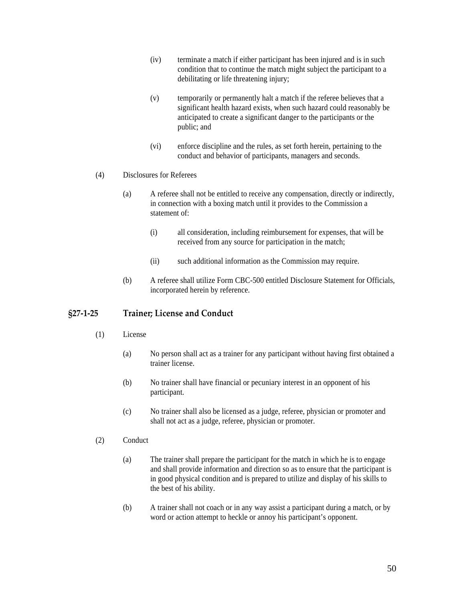- <span id="page-49-0"></span>(iv) terminate a match if either participant has been injured and is in such condition that to continue the match might subject the participant to a debilitating or life threatening injury;
- (v) temporarily or permanently halt a match if the referee believes that a significant health hazard exists, when such hazard could reasonably be anticipated to create a significant danger to the participants or the public; and
- (vi) enforce discipline and the rules, as set forth herein, pertaining to the conduct and behavior of participants, managers and seconds.
- (4) Disclosures for Referees
	- (a) A referee shall not be entitled to receive any compensation, directly or indirectly, in connection with a boxing match until it provides to the Commission a statement of:
		- (i) all consideration, including reimbursement for expenses, that will be received from any source for participation in the match;
		- (ii) such additional information as the Commission may require.
	- (b) A referee shall utilize Form CBC-500 entitled Disclosure Statement for Officials, incorporated herein by reference.

### **§27‐1‐25 Trainer; License and Conduct**

- (1) License
	- (a) No person shall act as a trainer for any participant without having first obtained a trainer license.
	- (b) No trainer shall have financial or pecuniary interest in an opponent of his participant.
	- (c) No trainer shall also be licensed as a judge, referee, physician or promoter and shall not act as a judge, referee, physician or promoter.
- (2) Conduct
	- (a) The trainer shall prepare the participant for the match in which he is to engage and shall provide information and direction so as to ensure that the participant is in good physical condition and is prepared to utilize and display of his skills to the best of his ability.
	- (b) A trainer shall not coach or in any way assist a participant during a match, or by word or action attempt to heckle or annoy his participant's opponent.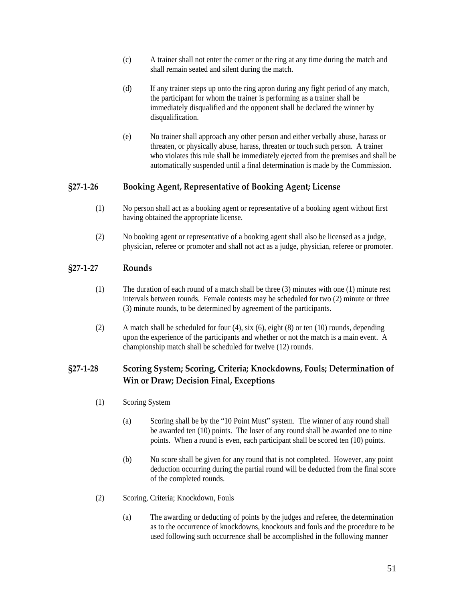- <span id="page-50-0"></span>(c) A trainer shall not enter the corner or the ring at any time during the match and shall remain seated and silent during the match.
- (d) If any trainer steps up onto the ring apron during any fight period of any match, the participant for whom the trainer is performing as a trainer shall be immediately disqualified and the opponent shall be declared the winner by disqualification.
- (e) No trainer shall approach any other person and either verbally abuse, harass or threaten, or physically abuse, harass, threaten or touch such person. A trainer who violates this rule shall be immediately ejected from the premises and shall be automatically suspended until a final determination is made by the Commission.

### **§27‐1‐26 Booking Agent, Representative of Booking Agent; License**

- (1) No person shall act as a booking agent or representative of a booking agent without first having obtained the appropriate license.
- (2) No booking agent or representative of a booking agent shall also be licensed as a judge, physician, referee or promoter and shall not act as a judge, physician, referee or promoter.

# **§27‐1‐27 Rounds**

- (1) The duration of each round of a match shall be three (3) minutes with one (1) minute rest intervals between rounds. Female contests may be scheduled for two (2) minute or three (3) minute rounds, to be determined by agreement of the participants.
- (2) A match shall be scheduled for four (4), six (6), eight (8) or ten (10) rounds, depending upon the experience of the participants and whether or not the match is a main event. A championship match shall be scheduled for twelve (12) rounds.

# **§27‐1‐28 Scoring System; Scoring, Criteria; Knockdowns, Fouls; Determination of Win or Draw; Decision Final, Exceptions**

- (1) Scoring System
	- (a) Scoring shall be by the "10 Point Must" system. The winner of any round shall be awarded ten (10) points. The loser of any round shall be awarded one to nine points. When a round is even, each participant shall be scored ten (10) points.
	- (b) No score shall be given for any round that is not completed. However, any point deduction occurring during the partial round will be deducted from the final score of the completed rounds.
- (2) Scoring, Criteria; Knockdown, Fouls
	- (a) The awarding or deducting of points by the judges and referee, the determination as to the occurrence of knockdowns, knockouts and fouls and the procedure to be used following such occurrence shall be accomplished in the following manner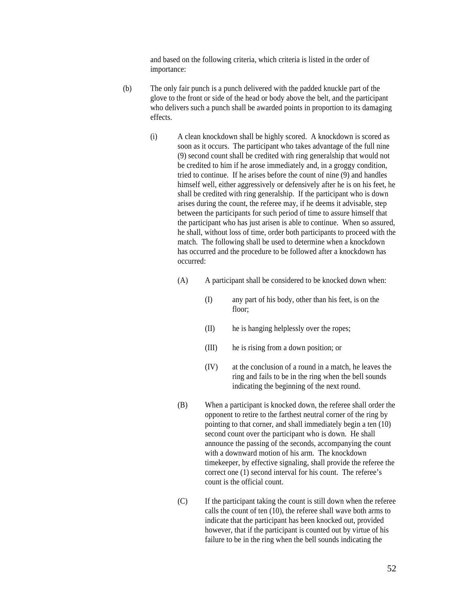and based on the following criteria, which criteria is listed in the order of importance:

- (b) The only fair punch is a punch delivered with the padded knuckle part of the glove to the front or side of the head or body above the belt, and the participant who delivers such a punch shall be awarded points in proportion to its damaging effects.
	- (i) A clean knockdown shall be highly scored. A knockdown is scored as soon as it occurs. The participant who takes advantage of the full nine (9) second count shall be credited with ring generalship that would not be credited to him if he arose immediately and, in a groggy condition, tried to continue. If he arises before the count of nine (9) and handles himself well, either aggressively or defensively after he is on his feet, he shall be credited with ring generalship. If the participant who is down arises during the count, the referee may, if he deems it advisable, step between the participants for such period of time to assure himself that the participant who has just arisen is able to continue. When so assured, he shall, without loss of time, order both participants to proceed with the match. The following shall be used to determine when a knockdown has occurred and the procedure to be followed after a knockdown has occurred:
		- (A) A participant shall be considered to be knocked down when:
			- (I) any part of his body, other than his feet, is on the floor;
			- (II) he is hanging helplessly over the ropes;
			- (III) he is rising from a down position; or
			- (IV) at the conclusion of a round in a match, he leaves the ring and fails to be in the ring when the bell sounds indicating the beginning of the next round.
		- (B) When a participant is knocked down, the referee shall order the opponent to retire to the farthest neutral corner of the ring by pointing to that corner, and shall immediately begin a ten (10) second count over the participant who is down. He shall announce the passing of the seconds, accompanying the count with a downward motion of his arm. The knockdown timekeeper, by effective signaling, shall provide the referee the correct one (1) second interval for his count. The referee's count is the official count.
		- (C) If the participant taking the count is still down when the referee calls the count of ten (10), the referee shall wave both arms to indicate that the participant has been knocked out, provided however, that if the participant is counted out by virtue of his failure to be in the ring when the bell sounds indicating the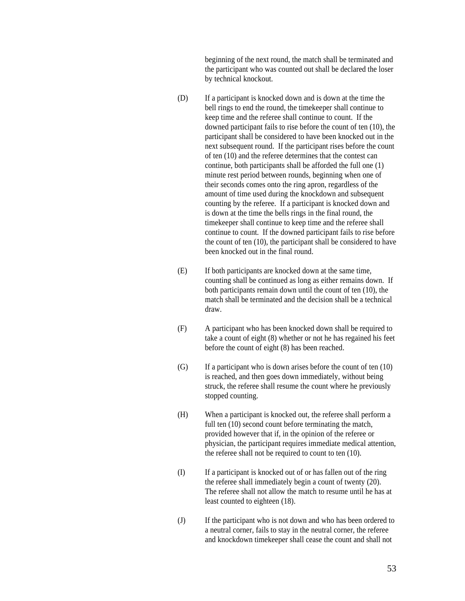beginning of the next round, the match shall be terminated and the participant who was counted out shall be declared the loser by technical knockout.

- (D) If a participant is knocked down and is down at the time the bell rings to end the round, the timekeeper shall continue to keep time and the referee shall continue to count. If the downed participant fails to rise before the count of ten (10), the participant shall be considered to have been knocked out in the next subsequent round. If the participant rises before the count of ten (10) and the referee determines that the contest can continue, both participants shall be afforded the full one (1) minute rest period between rounds, beginning when one of their seconds comes onto the ring apron, regardless of the amount of time used during the knockdown and subsequent counting by the referee. If a participant is knocked down and is down at the time the bells rings in the final round, the timekeeper shall continue to keep time and the referee shall continue to count. If the downed participant fails to rise before the count of ten (10), the participant shall be considered to have been knocked out in the final round.
- (E) If both participants are knocked down at the same time, counting shall be continued as long as either remains down. If both participants remain down until the count of ten (10), the match shall be terminated and the decision shall be a technical draw.
- (F) A participant who has been knocked down shall be required to take a count of eight (8) whether or not he has regained his feet before the count of eight (8) has been reached.
- $(G)$  If a participant who is down arises before the count of ten  $(10)$ is reached, and then goes down immediately, without being struck, the referee shall resume the count where he previously stopped counting.
- (H) When a participant is knocked out, the referee shall perform a full ten  $(10)$  second count before terminating the match, provided however that if, in the opinion of the referee or physician, the participant requires immediate medical attention, the referee shall not be required to count to ten (10).
- (I) If a participant is knocked out of or has fallen out of the ring the referee shall immediately begin a count of twenty (20). The referee shall not allow the match to resume until he has at least counted to eighteen (18).
- (J) If the participant who is not down and who has been ordered to a neutral corner, fails to stay in the neutral corner, the referee and knockdown timekeeper shall cease the count and shall not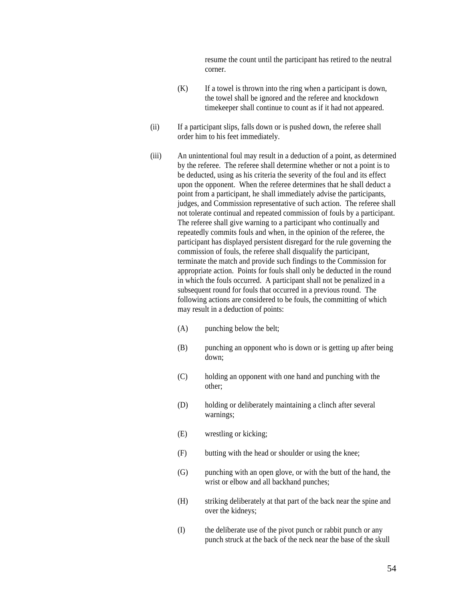resume the count until the participant has retired to the neutral corner.

- $(K)$  If a towel is thrown into the ring when a participant is down, the towel shall be ignored and the referee and knockdown timekeeper shall continue to count as if it had not appeared.
- (ii) If a participant slips, falls down or is pushed down, the referee shall order him to his feet immediately.
- (iii) An unintentional foul may result in a deduction of a point, as determined by the referee. The referee shall determine whether or not a point is to be deducted, using as his criteria the severity of the foul and its effect upon the opponent. When the referee determines that he shall deduct a point from a participant, he shall immediately advise the participants, judges, and Commission representative of such action. The referee shall not tolerate continual and repeated commission of fouls by a participant. The referee shall give warning to a participant who continually and repeatedly commits fouls and when, in the opinion of the referee, the participant has displayed persistent disregard for the rule governing the commission of fouls, the referee shall disqualify the participant, terminate the match and provide such findings to the Commission for appropriate action. Points for fouls shall only be deducted in the round in which the fouls occurred. A participant shall not be penalized in a subsequent round for fouls that occurred in a previous round. The following actions are considered to be fouls, the committing of which may result in a deduction of points:
	- (A) punching below the belt;
	- (B) punching an opponent who is down or is getting up after being down;
	- (C) holding an opponent with one hand and punching with the other;
	- (D) holding or deliberately maintaining a clinch after several warnings;
	- (E) wrestling or kicking;
	- (F) butting with the head or shoulder or using the knee;
	- (G) punching with an open glove, or with the butt of the hand, the wrist or elbow and all backhand punches;
	- (H) striking deliberately at that part of the back near the spine and over the kidneys;
	- (I) the deliberate use of the pivot punch or rabbit punch or any punch struck at the back of the neck near the base of the skull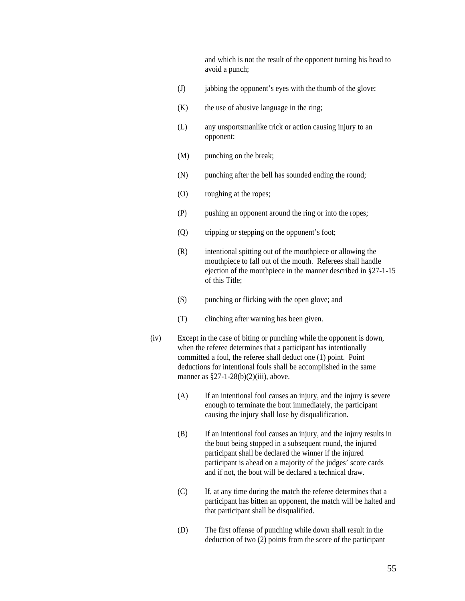and which is not the result of the opponent turning his head to avoid a punch;

- (J) jabbing the opponent's eyes with the thumb of the glove;
- $(K)$  the use of abusive language in the ring;
- (L) any unsportsmanlike trick or action causing injury to an opponent;
- (M) punching on the break;
- (N) punching after the bell has sounded ending the round;
- (O) roughing at the ropes;
- (P) pushing an opponent around the ring or into the ropes;
- (Q) tripping or stepping on the opponent's foot;
- (R) intentional spitting out of the mouthpiece or allowing the mouthpiece to fall out of the mouth. Referees shall handle ejection of the mouthpiece in the manner described in §27-1-15 of this Title;
- (S) punching or flicking with the open glove; and
- (T) clinching after warning has been given.
- (iv) Except in the case of biting or punching while the opponent is down, when the referee determines that a participant has intentionally committed a foul, the referee shall deduct one (1) point. Point deductions for intentional fouls shall be accomplished in the same manner as  $\S27-1-28(b)(2)(iii)$ , above.
	- (A) If an intentional foul causes an injury, and the injury is severe enough to terminate the bout immediately, the participant causing the injury shall lose by disqualification.
	- (B) If an intentional foul causes an injury, and the injury results in the bout being stopped in a subsequent round, the injured participant shall be declared the winner if the injured participant is ahead on a majority of the judges' score cards and if not, the bout will be declared a technical draw.
	- (C) If, at any time during the match the referee determines that a participant has bitten an opponent, the match will be halted and that participant shall be disqualified.
	- (D) The first offense of punching while down shall result in the deduction of two (2) points from the score of the participant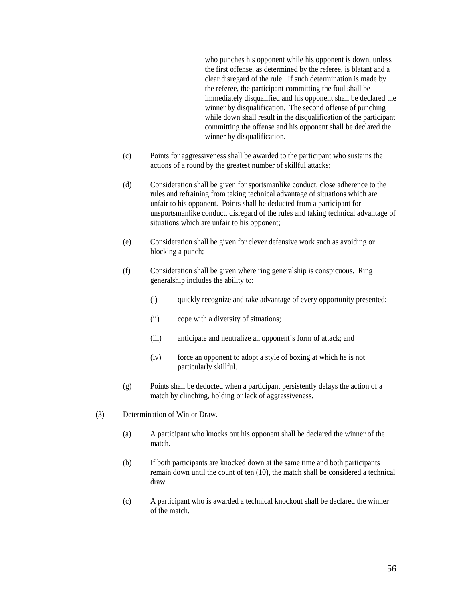who punches his opponent while his opponent is down, unless the first offense, as determined by the referee, is blatant and a clear disregard of the rule. If such determination is made by the referee, the participant committing the foul shall be immediately disqualified and his opponent shall be declared the winner by disqualification. The second offense of punching while down shall result in the disqualification of the participant committing the offense and his opponent shall be declared the winner by disqualification.

- (c) Points for aggressiveness shall be awarded to the participant who sustains the actions of a round by the greatest number of skillful attacks;
- (d) Consideration shall be given for sportsmanlike conduct, close adherence to the rules and refraining from taking technical advantage of situations which are unfair to his opponent. Points shall be deducted from a participant for unsportsmanlike conduct, disregard of the rules and taking technical advantage of situations which are unfair to his opponent;
- (e) Consideration shall be given for clever defensive work such as avoiding or blocking a punch;
- (f) Consideration shall be given where ring generalship is conspicuous. Ring generalship includes the ability to:
	- (i) quickly recognize and take advantage of every opportunity presented;
	- (ii) cope with a diversity of situations;
	- (iii) anticipate and neutralize an opponent's form of attack; and
	- (iv) force an opponent to adopt a style of boxing at which he is not particularly skillful.
- (g) Points shall be deducted when a participant persistently delays the action of a match by clinching, holding or lack of aggressiveness.
- (3) Determination of Win or Draw.
	- (a) A participant who knocks out his opponent shall be declared the winner of the match.
	- (b) If both participants are knocked down at the same time and both participants remain down until the count of ten (10), the match shall be considered a technical draw.
	- (c) A participant who is awarded a technical knockout shall be declared the winner of the match.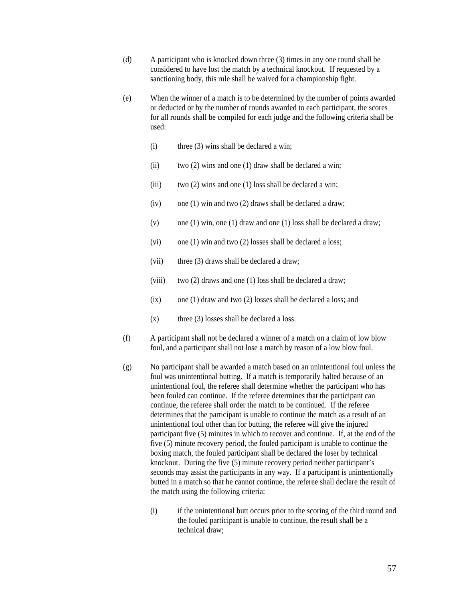- (d) A participant who is knocked down three (3) times in any one round shall be considered to have lost the match by a technical knockout. If requested by a sanctioning body, this rule shall be waived for a championship fight.
- (e) When the winner of a match is to be determined by the number of points awarded or deducted or by the number of rounds awarded to each participant, the scores for all rounds shall be compiled for each judge and the following criteria shall be used:
	- (i) three (3) wins shall be declared a win;
	- (ii) two (2) wins and one (1) draw shall be declared a win;
	- (iii) two (2) wins and one (1) loss shall be declared a win;
	- (iv) one (1) win and two (2) draws shall be declared a draw;
	- (v) one (1) win, one (1) draw and one (1) loss shall be declared a draw;
	- (vi) one (1) win and two (2) losses shall be declared a loss;
	- (vii) three (3) draws shall be declared a draw;
	- (viii) two (2) draws and one (1) loss shall be declared a draw;
	- (ix) one (1) draw and two (2) losses shall be declared a loss; and
	- $(x)$  three (3) losses shall be declared a loss.
- (f) A participant shall not be declared a winner of a match on a claim of low blow foul, and a participant shall not lose a match by reason of a low blow foul.
- (g) No participant shall be awarded a match based on an unintentional foul unless the foul was unintentional butting. If a match is temporarily halted because of an unintentional foul, the referee shall determine whether the participant who has been fouled can continue. If the referee determines that the participant can continue, the referee shall order the match to be continued. If the referee determines that the participant is unable to continue the match as a result of an unintentional foul other than for butting, the referee will give the injured participant five (5) minutes in which to recover and continue. If, at the end of the five (5) minute recovery period, the fouled participant is unable to continue the boxing match, the fouled participant shall be declared the loser by technical knockout. During the five (5) minute recovery period neither participant's seconds may assist the participants in any way. If a participant is unintentionally butted in a match so that he cannot continue, the referee shall declare the result of the match using the following criteria:
	- (i) if the unintentional butt occurs prior to the scoring of the third round and the fouled participant is unable to continue, the result shall be a technical draw;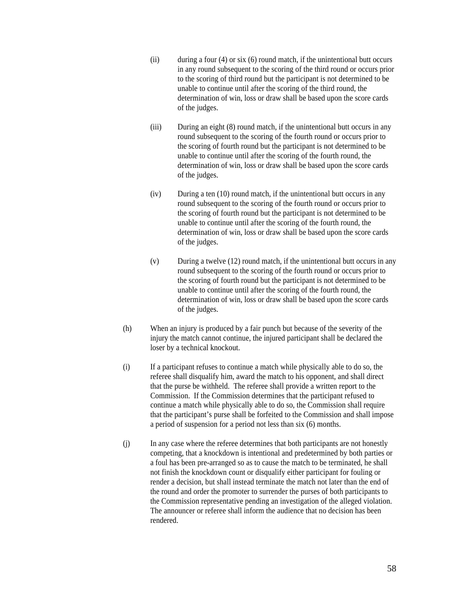- (ii) during a four (4) or six (6) round match, if the unintentional butt occurs in any round subsequent to the scoring of the third round or occurs prior to the scoring of third round but the participant is not determined to be unable to continue until after the scoring of the third round, the determination of win, loss or draw shall be based upon the score cards of the judges.
- (iii) During an eight (8) round match, if the unintentional butt occurs in any round subsequent to the scoring of the fourth round or occurs prior to the scoring of fourth round but the participant is not determined to be unable to continue until after the scoring of the fourth round, the determination of win, loss or draw shall be based upon the score cards of the judges.
- (iv) During a ten (10) round match, if the unintentional butt occurs in any round subsequent to the scoring of the fourth round or occurs prior to the scoring of fourth round but the participant is not determined to be unable to continue until after the scoring of the fourth round, the determination of win, loss or draw shall be based upon the score cards of the judges.
- (v) During a twelve (12) round match, if the unintentional butt occurs in any round subsequent to the scoring of the fourth round or occurs prior to the scoring of fourth round but the participant is not determined to be unable to continue until after the scoring of the fourth round, the determination of win, loss or draw shall be based upon the score cards of the judges.
- (h) When an injury is produced by a fair punch but because of the severity of the injury the match cannot continue, the injured participant shall be declared the loser by a technical knockout.
- (i) If a participant refuses to continue a match while physically able to do so, the referee shall disqualify him, award the match to his opponent, and shall direct that the purse be withheld. The referee shall provide a written report to the Commission. If the Commission determines that the participant refused to continue a match while physically able to do so, the Commission shall require that the participant's purse shall be forfeited to the Commission and shall impose a period of suspension for a period not less than six (6) months.
- (j) In any case where the referee determines that both participants are not honestly competing, that a knockdown is intentional and predetermined by both parties or a foul has been pre-arranged so as to cause the match to be terminated, he shall not finish the knockdown count or disqualify either participant for fouling or render a decision, but shall instead terminate the match not later than the end of the round and order the promoter to surrender the purses of both participants to the Commission representative pending an investigation of the alleged violation. The announcer or referee shall inform the audience that no decision has been rendered.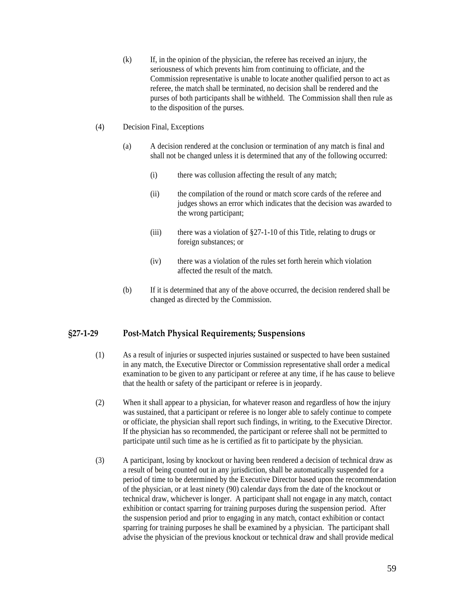- <span id="page-58-0"></span>(k) If, in the opinion of the physician, the referee has received an injury, the seriousness of which prevents him from continuing to officiate, and the Commission representative is unable to locate another qualified person to act as referee, the match shall be terminated, no decision shall be rendered and the purses of both participants shall be withheld. The Commission shall then rule as to the disposition of the purses.
- (4) Decision Final, Exceptions
	- (a) A decision rendered at the conclusion or termination of any match is final and shall not be changed unless it is determined that any of the following occurred:
		- (i) there was collusion affecting the result of any match;
		- (ii) the compilation of the round or match score cards of the referee and judges shows an error which indicates that the decision was awarded to the wrong participant;
		- (iii) there was a violation of  $\S27$ -1-10 of this Title, relating to drugs or foreign substances; or
		- (iv) there was a violation of the rules set forth herein which violation affected the result of the match.
	- (b) If it is determined that any of the above occurred, the decision rendered shall be changed as directed by the Commission.

### **§27‐1‐29 Post‐Match Physical Requirements; Suspensions**

- (1) As a result of injuries or suspected injuries sustained or suspected to have been sustained in any match, the Executive Director or Commission representative shall order a medical examination to be given to any participant or referee at any time, if he has cause to believe that the health or safety of the participant or referee is in jeopardy.
- (2) When it shall appear to a physician, for whatever reason and regardless of how the injury was sustained, that a participant or referee is no longer able to safely continue to compete or officiate, the physician shall report such findings, in writing, to the Executive Director. If the physician has so recommended, the participant or referee shall not be permitted to participate until such time as he is certified as fit to participate by the physician.
- (3) A participant, losing by knockout or having been rendered a decision of technical draw as a result of being counted out in any jurisdiction, shall be automatically suspended for a period of time to be determined by the Executive Director based upon the recommendation of the physician, or at least ninety (90) calendar days from the date of the knockout or technical draw, whichever is longer. A participant shall not engage in any match, contact exhibition or contact sparring for training purposes during the suspension period. After the suspension period and prior to engaging in any match, contact exhibition or contact sparring for training purposes he shall be examined by a physician. The participant shall advise the physician of the previous knockout or technical draw and shall provide medical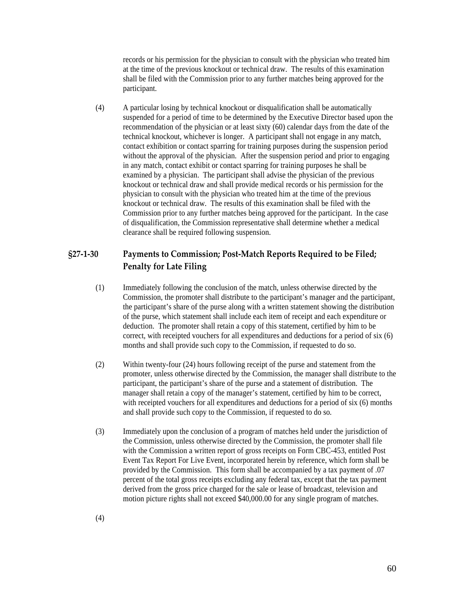<span id="page-59-0"></span>records or his permission for the physician to consult with the physician who treated him at the time of the previous knockout or technical draw. The results of this examination shall be filed with the Commission prior to any further matches being approved for the participant.

(4) A particular losing by technical knockout or disqualification shall be automatically suspended for a period of time to be determined by the Executive Director based upon the recommendation of the physician or at least sixty (60) calendar days from the date of the technical knockout, whichever is longer. A participant shall not engage in any match, contact exhibition or contact sparring for training purposes during the suspension period without the approval of the physician. After the suspension period and prior to engaging in any match, contact exhibit or contact sparring for training purposes he shall be examined by a physician. The participant shall advise the physician of the previous knockout or technical draw and shall provide medical records or his permission for the physician to consult with the physician who treated him at the time of the previous knockout or technical draw. The results of this examination shall be filed with the Commission prior to any further matches being approved for the participant. In the case of disqualification, the Commission representative shall determine whether a medical clearance shall be required following suspension.

# **§27‐1‐30 Payments to Commission; Post‐Match Reports Required to be Filed; Penalty for Late Filing**

- (1) Immediately following the conclusion of the match, unless otherwise directed by the Commission, the promoter shall distribute to the participant's manager and the participant, the participant's share of the purse along with a written statement showing the distribution of the purse, which statement shall include each item of receipt and each expenditure or deduction. The promoter shall retain a copy of this statement, certified by him to be correct, with receipted vouchers for all expenditures and deductions for a period of six (6) months and shall provide such copy to the Commission, if requested to do so.
- (2) Within twenty-four (24) hours following receipt of the purse and statement from the promoter, unless otherwise directed by the Commission, the manager shall distribute to the participant, the participant's share of the purse and a statement of distribution. The manager shall retain a copy of the manager's statement, certified by him to be correct, with receipted vouchers for all expenditures and deductions for a period of six (6) months and shall provide such copy to the Commission, if requested to do so.
- (3) Immediately upon the conclusion of a program of matches held under the jurisdiction of the Commission, unless otherwise directed by the Commission, the promoter shall file with the Commission a written report of gross receipts on Form CBC-453, entitled Post Event Tax Report For Live Event, incorporated herein by reference, which form shall be provided by the Commission. This form shall be accompanied by a tax payment of .07 percent of the total gross receipts excluding any federal tax, except that the tax payment derived from the gross price charged for the sale or lease of broadcast, television and motion picture rights shall not exceed \$40,000.00 for any single program of matches.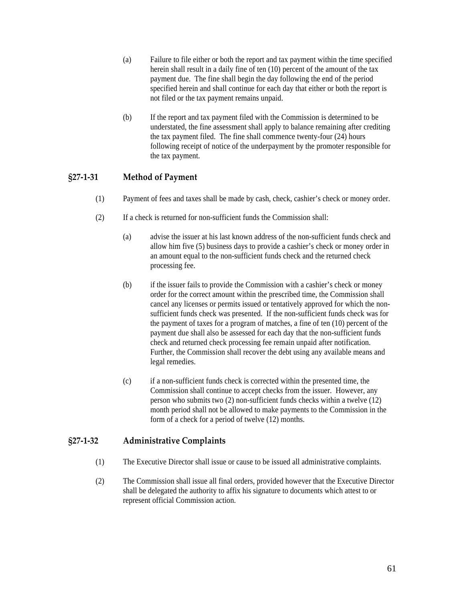- <span id="page-60-0"></span>(a) Failure to file either or both the report and tax payment within the time specified herein shall result in a daily fine of ten (10) percent of the amount of the tax payment due. The fine shall begin the day following the end of the period specified herein and shall continue for each day that either or both the report is not filed or the tax payment remains unpaid.
- (b) If the report and tax payment filed with the Commission is determined to be understated, the fine assessment shall apply to balance remaining after crediting the tax payment filed. The fine shall commence twenty-four (24) hours following receipt of notice of the underpayment by the promoter responsible for the tax payment.

# **§27‐1‐31 Method of Payment**

- (1) Payment of fees and taxes shall be made by cash, check, cashier's check or money order.
- (2) If a check is returned for non-sufficient funds the Commission shall:
	- (a) advise the issuer at his last known address of the non-sufficient funds check and allow him five (5) business days to provide a cashier's check or money order in an amount equal to the non-sufficient funds check and the returned check processing fee.
	- (b) if the issuer fails to provide the Commission with a cashier's check or money order for the correct amount within the prescribed time, the Commission shall cancel any licenses or permits issued or tentatively approved for which the nonsufficient funds check was presented. If the non-sufficient funds check was for the payment of taxes for a program of matches, a fine of ten (10) percent of the payment due shall also be assessed for each day that the non-sufficient funds check and returned check processing fee remain unpaid after notification. Further, the Commission shall recover the debt using any available means and legal remedies.
	- (c) if a non-sufficient funds check is corrected within the presented time, the Commission shall continue to accept checks from the issuer. However, any person who submits two (2) non-sufficient funds checks within a twelve (12) month period shall not be allowed to make payments to the Commission in the form of a check for a period of twelve (12) months.

### **§27‐1‐32 Administrative Complaints**

- (1) The Executive Director shall issue or cause to be issued all administrative complaints.
- (2) The Commission shall issue all final orders, provided however that the Executive Director shall be delegated the authority to affix his signature to documents which attest to or represent official Commission action.